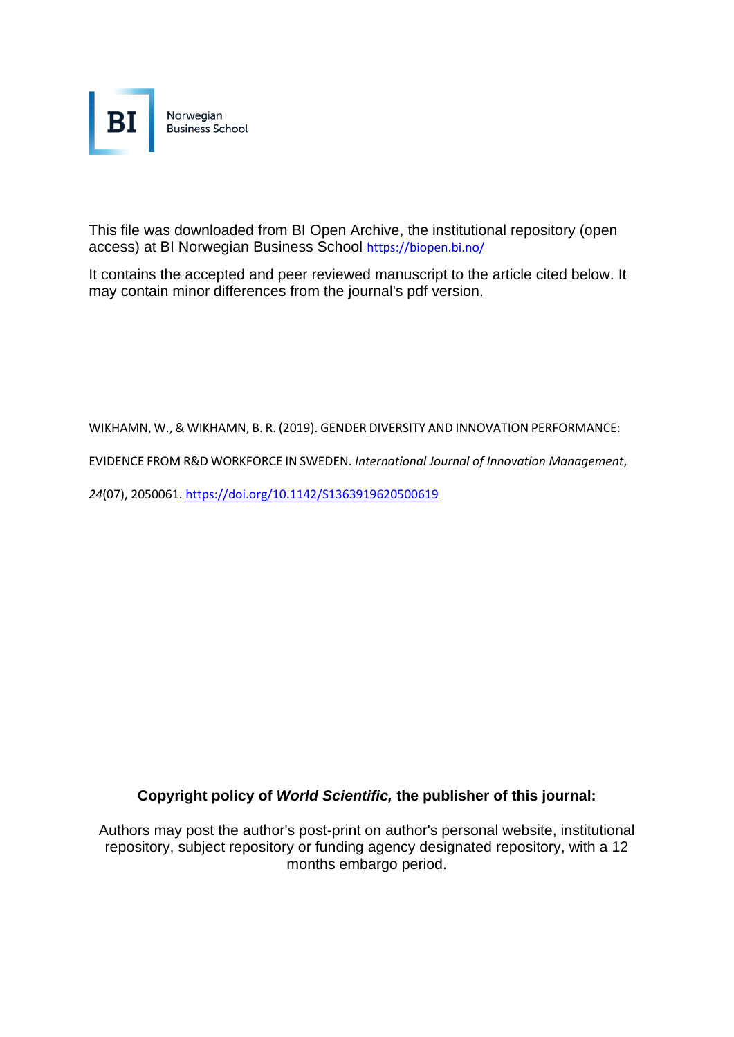

This file was downloaded from BI Open Archive, the institutional repository (open access) at BI Norwegian Business School <https://biopen.bi.no/>

It contains the accepted and peer reviewed manuscript to the article cited below. It may contain minor differences from the journal's pdf version.

WIKHAMN, W., & WIKHAMN, B. R. (2019). GENDER DIVERSITY AND INNOVATION PERFORMANCE:

EVIDENCE FROM R&D WORKFORCE IN SWEDEN. *International Journal of Innovation Management*,

*24*(07), 2050061[. https://doi.org/10.1142/S1363919620500619](https://doi.org/10.1142/S1363919620500619)

## **Copyright policy of** *World Scientific,* **the publisher of this journal:**

Authors may post the author's post-print on author's personal website, institutional repository, subject repository or funding agency designated repository, with a 12 months embargo period.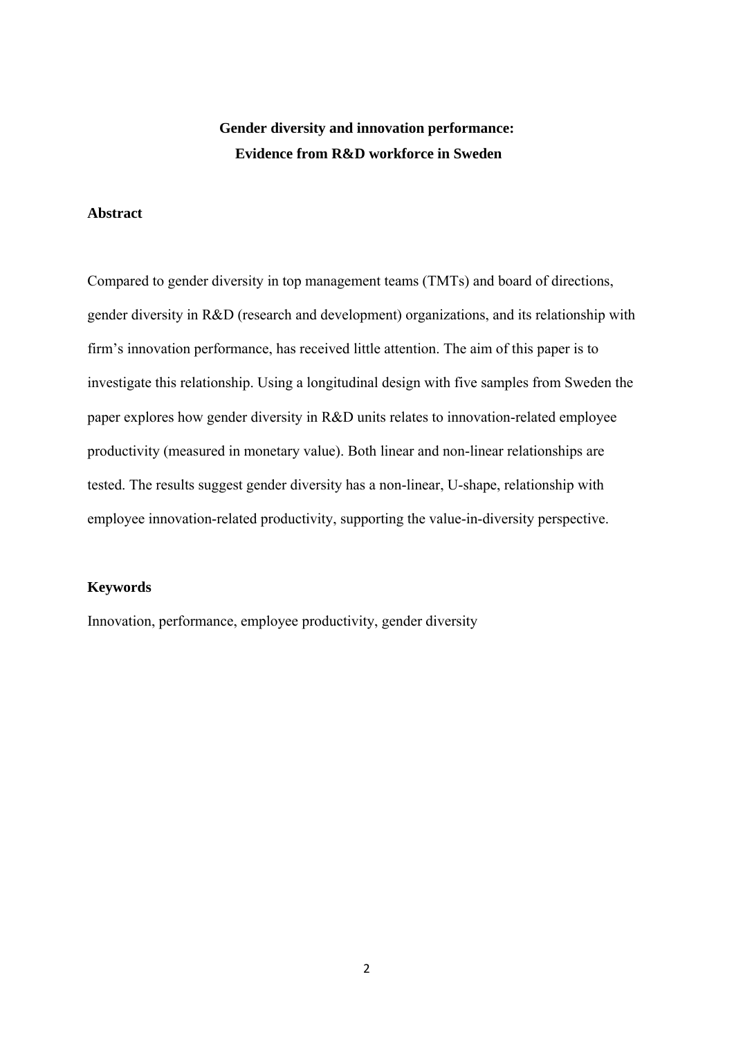# **Gender diversity and innovation performance: Evidence from R&D workforce in Sweden**

## **Abstract**

Compared to gender diversity in top management teams (TMTs) and board of directions, gender diversity in R&D (research and development) organizations, and its relationship with firm's innovation performance, has received little attention. The aim of this paper is to investigate this relationship. Using a longitudinal design with five samples from Sweden the paper explores how gender diversity in R&D units relates to innovation-related employee productivity (measured in monetary value). Both linear and non-linear relationships are tested. The results suggest gender diversity has a non-linear, U-shape, relationship with employee innovation-related productivity, supporting the value-in-diversity perspective.

#### **Keywords**

Innovation, performance, employee productivity, gender diversity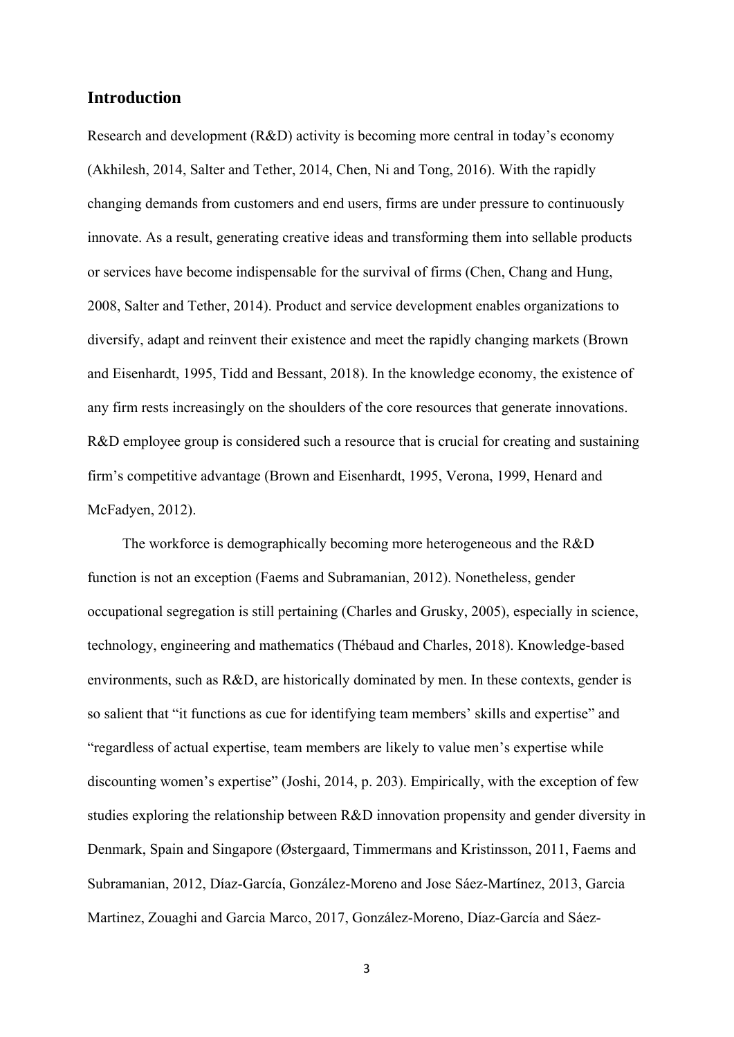## **Introduction**

Research and development (R&D) activity is becoming more central in today's economy (Akhilesh, 2014, Salter and Tether, 2014, Chen, Ni and Tong, 2016). With the rapidly changing demands from customers and end users, firms are under pressure to continuously innovate. As a result, generating creative ideas and transforming them into sellable products or services have become indispensable for the survival of firms (Chen, Chang and Hung, 2008, Salter and Tether, 2014). Product and service development enables organizations to diversify, adapt and reinvent their existence and meet the rapidly changing markets (Brown and Eisenhardt, 1995, Tidd and Bessant, 2018). In the knowledge economy, the existence of any firm rests increasingly on the shoulders of the core resources that generate innovations. R&D employee group is considered such a resource that is crucial for creating and sustaining firm's competitive advantage (Brown and Eisenhardt, 1995, Verona, 1999, Henard and McFadyen, 2012).

The workforce is demographically becoming more heterogeneous and the R&D function is not an exception (Faems and Subramanian, 2012). Nonetheless, gender occupational segregation is still pertaining (Charles and Grusky, 2005), especially in science, technology, engineering and mathematics (Thébaud and Charles, 2018). Knowledge-based environments, such as R&D, are historically dominated by men. In these contexts, gender is so salient that "it functions as cue for identifying team members' skills and expertise" and "regardless of actual expertise, team members are likely to value men's expertise while discounting women's expertise" (Joshi, 2014, p. 203). Empirically, with the exception of few studies exploring the relationship between R&D innovation propensity and gender diversity in Denmark, Spain and Singapore (Østergaard, Timmermans and Kristinsson, 2011, Faems and Subramanian, 2012, Díaz-García, González-Moreno and Jose Sáez-Martínez, 2013, Garcia Martinez, Zouaghi and Garcia Marco, 2017, González-Moreno, Díaz-García and Sáez-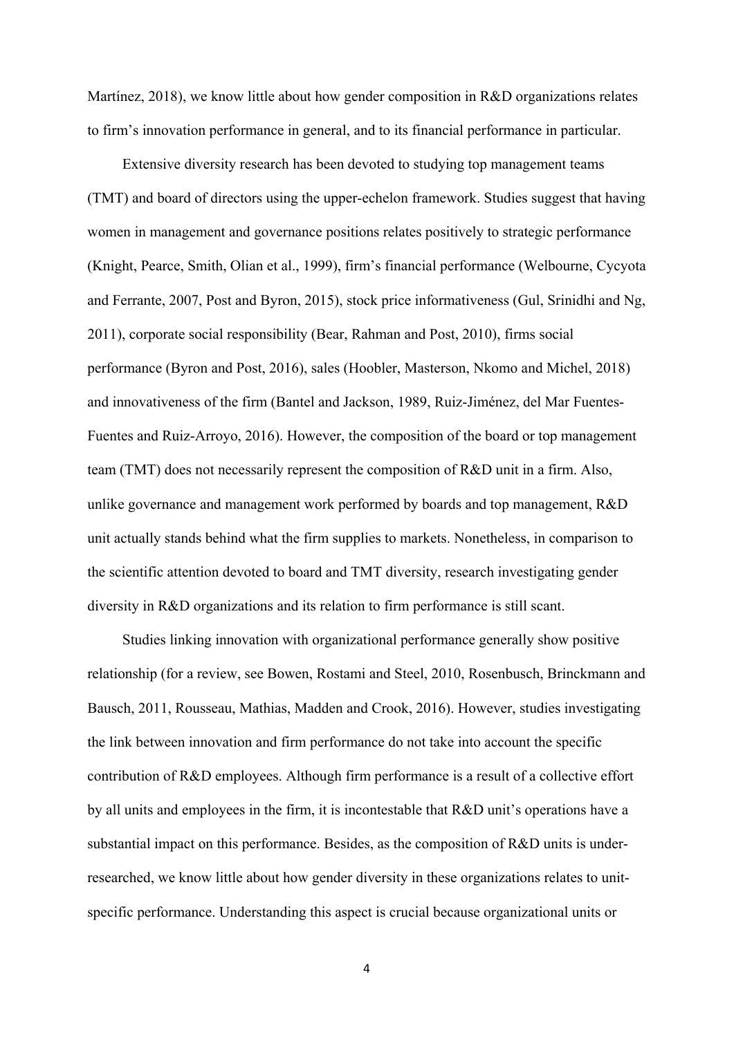Martínez, 2018), we know little about how gender composition in R&D organizations relates to firm's innovation performance in general, and to its financial performance in particular.

Extensive diversity research has been devoted to studying top management teams (TMT) and board of directors using the upper-echelon framework. Studies suggest that having women in management and governance positions relates positively to strategic performance (Knight, Pearce, Smith, Olian et al., 1999), firm's financial performance (Welbourne, Cycyota and Ferrante, 2007, Post and Byron, 2015), stock price informativeness (Gul, Srinidhi and Ng, 2011), corporate social responsibility (Bear, Rahman and Post, 2010), firms social performance (Byron and Post, 2016), sales (Hoobler, Masterson, Nkomo and Michel, 2018) and innovativeness of the firm (Bantel and Jackson, 1989, Ruiz-Jiménez, del Mar Fuentes-Fuentes and Ruiz-Arroyo, 2016). However, the composition of the board or top management team (TMT) does not necessarily represent the composition of R&D unit in a firm. Also, unlike governance and management work performed by boards and top management, R&D unit actually stands behind what the firm supplies to markets. Nonetheless, in comparison to the scientific attention devoted to board and TMT diversity, research investigating gender diversity in R&D organizations and its relation to firm performance is still scant.

Studies linking innovation with organizational performance generally show positive relationship (for a review, see Bowen, Rostami and Steel, 2010, Rosenbusch, Brinckmann and Bausch, 2011, Rousseau, Mathias, Madden and Crook, 2016). However, studies investigating the link between innovation and firm performance do not take into account the specific contribution of R&D employees. Although firm performance is a result of a collective effort by all units and employees in the firm, it is incontestable that R&D unit's operations have a substantial impact on this performance. Besides, as the composition of R&D units is underresearched, we know little about how gender diversity in these organizations relates to unitspecific performance. Understanding this aspect is crucial because organizational units or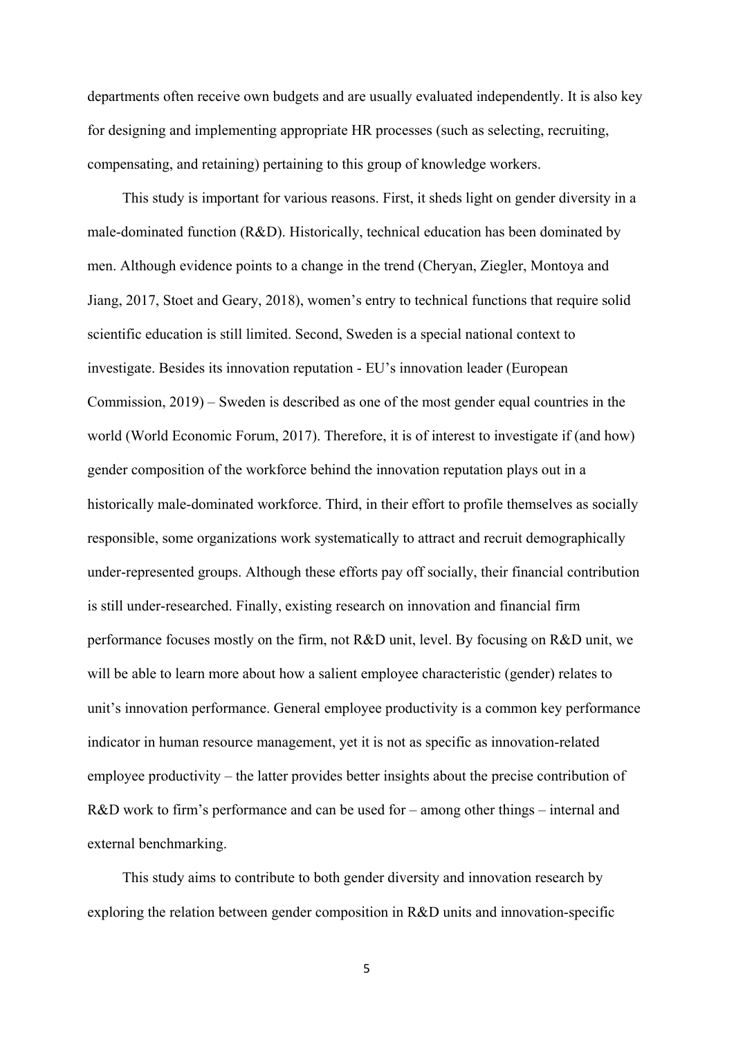departments often receive own budgets and are usually evaluated independently. It is also key for designing and implementing appropriate HR processes (such as selecting, recruiting, compensating, and retaining) pertaining to this group of knowledge workers.

This study is important for various reasons. First, it sheds light on gender diversity in a male-dominated function (R&D). Historically, technical education has been dominated by men. Although evidence points to a change in the trend (Cheryan, Ziegler, Montoya and Jiang, 2017, Stoet and Geary, 2018), women's entry to technical functions that require solid scientific education is still limited. Second, Sweden is a special national context to investigate. Besides its innovation reputation - EU's innovation leader (European Commission, 2019) – Sweden is described as one of the most gender equal countries in the world (World Economic Forum, 2017). Therefore, it is of interest to investigate if (and how) gender composition of the workforce behind the innovation reputation plays out in a historically male-dominated workforce. Third, in their effort to profile themselves as socially responsible, some organizations work systematically to attract and recruit demographically under-represented groups. Although these efforts pay off socially, their financial contribution is still under-researched. Finally, existing research on innovation and financial firm performance focuses mostly on the firm, not R&D unit, level. By focusing on R&D unit, we will be able to learn more about how a salient employee characteristic (gender) relates to unit's innovation performance. General employee productivity is a common key performance indicator in human resource management, yet it is not as specific as innovation-related employee productivity – the latter provides better insights about the precise contribution of R&D work to firm's performance and can be used for – among other things – internal and external benchmarking.

This study aims to contribute to both gender diversity and innovation research by exploring the relation between gender composition in R&D units and innovation-specific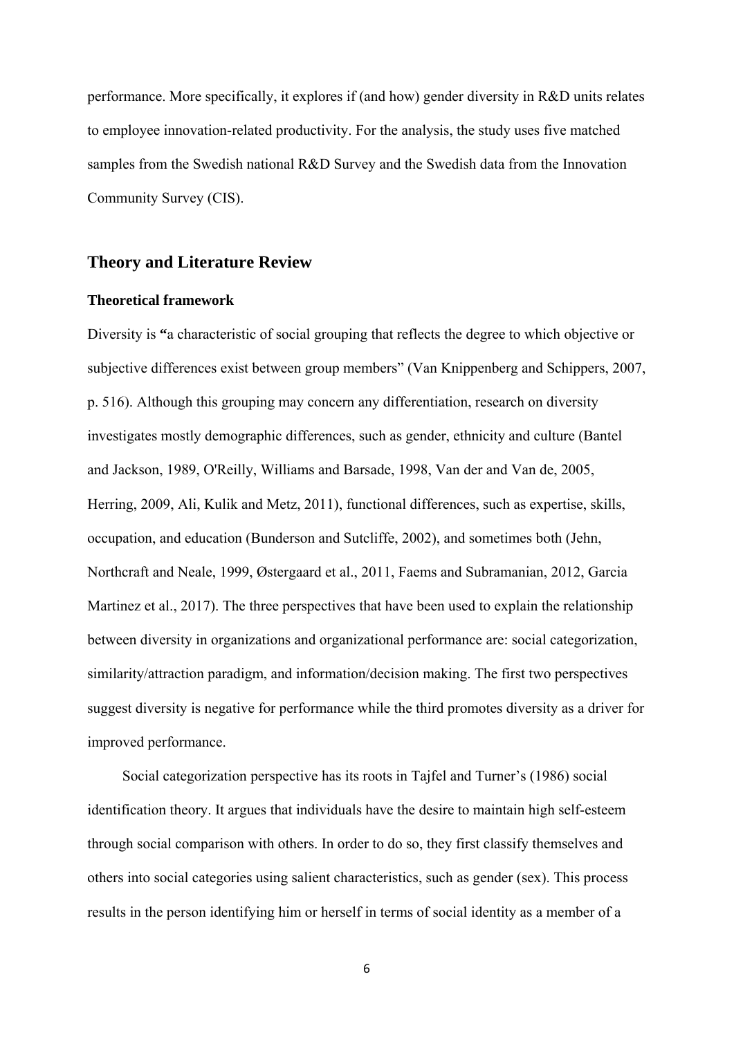performance. More specifically, it explores if (and how) gender diversity in R&D units relates to employee innovation-related productivity. For the analysis, the study uses five matched samples from the Swedish national R&D Survey and the Swedish data from the Innovation Community Survey (CIS).

### **Theory and Literature Review**

#### **Theoretical framework**

Diversity is **"**a characteristic of social grouping that reflects the degree to which objective or subjective differences exist between group members" (Van Knippenberg and Schippers, 2007, p. 516). Although this grouping may concern any differentiation, research on diversity investigates mostly demographic differences, such as gender, ethnicity and culture (Bantel and Jackson, 1989, O'Reilly, Williams and Barsade, 1998, Van der and Van de, 2005, Herring, 2009, Ali, Kulik and Metz, 2011), functional differences, such as expertise, skills, occupation, and education (Bunderson and Sutcliffe, 2002), and sometimes both (Jehn, Northcraft and Neale, 1999, Østergaard et al., 2011, Faems and Subramanian, 2012, Garcia Martinez et al., 2017). The three perspectives that have been used to explain the relationship between diversity in organizations and organizational performance are: social categorization, similarity/attraction paradigm, and information/decision making. The first two perspectives suggest diversity is negative for performance while the third promotes diversity as a driver for improved performance.

Social categorization perspective has its roots in Tajfel and Turner's (1986) social identification theory. It argues that individuals have the desire to maintain high self-esteem through social comparison with others. In order to do so, they first classify themselves and others into social categories using salient characteristics, such as gender (sex). This process results in the person identifying him or herself in terms of social identity as a member of a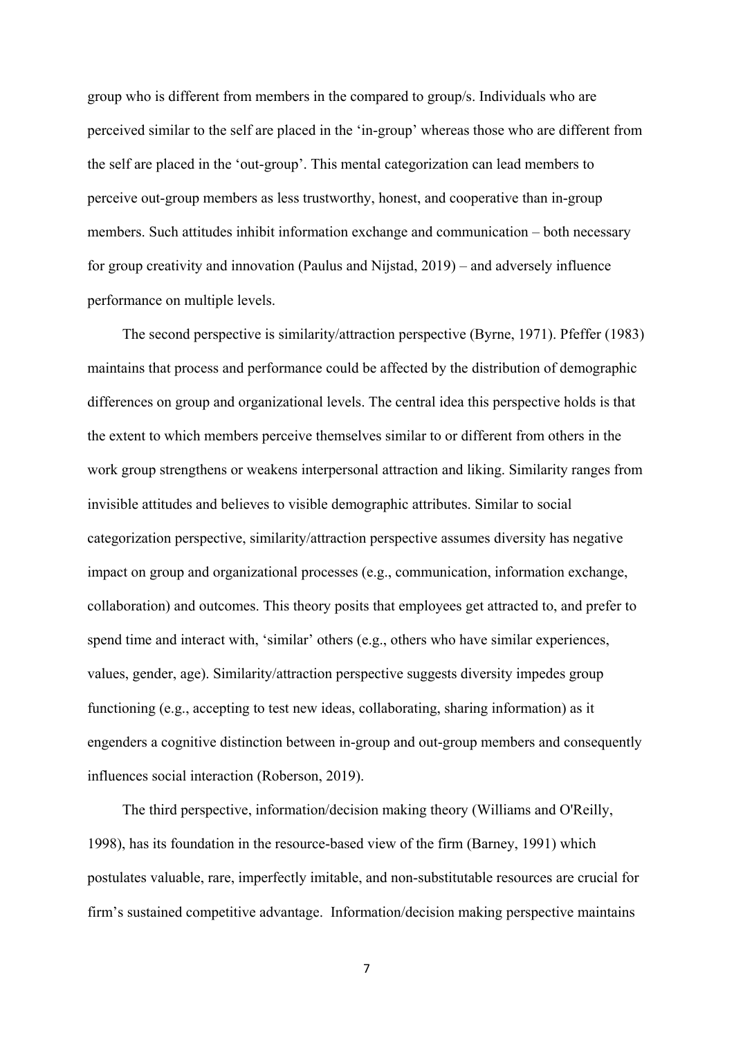group who is different from members in the compared to group/s. Individuals who are perceived similar to the self are placed in the 'in-group' whereas those who are different from the self are placed in the 'out-group'. This mental categorization can lead members to perceive out-group members as less trustworthy, honest, and cooperative than in-group members. Such attitudes inhibit information exchange and communication – both necessary for group creativity and innovation (Paulus and Nijstad, 2019) – and adversely influence performance on multiple levels.

The second perspective is similarity/attraction perspective (Byrne, 1971). Pfeffer (1983) maintains that process and performance could be affected by the distribution of demographic differences on group and organizational levels. The central idea this perspective holds is that the extent to which members perceive themselves similar to or different from others in the work group strengthens or weakens interpersonal attraction and liking. Similarity ranges from invisible attitudes and believes to visible demographic attributes. Similar to social categorization perspective, similarity/attraction perspective assumes diversity has negative impact on group and organizational processes (e.g., communication, information exchange, collaboration) and outcomes. This theory posits that employees get attracted to, and prefer to spend time and interact with, 'similar' others (e.g., others who have similar experiences, values, gender, age). Similarity/attraction perspective suggests diversity impedes group functioning (e.g., accepting to test new ideas, collaborating, sharing information) as it engenders a cognitive distinction between in-group and out-group members and consequently influences social interaction (Roberson, 2019).

The third perspective, information/decision making theory (Williams and O'Reilly, 1998), has its foundation in the resource-based view of the firm (Barney, 1991) which postulates valuable, rare, imperfectly imitable, and non-substitutable resources are crucial for firm's sustained competitive advantage. Information/decision making perspective maintains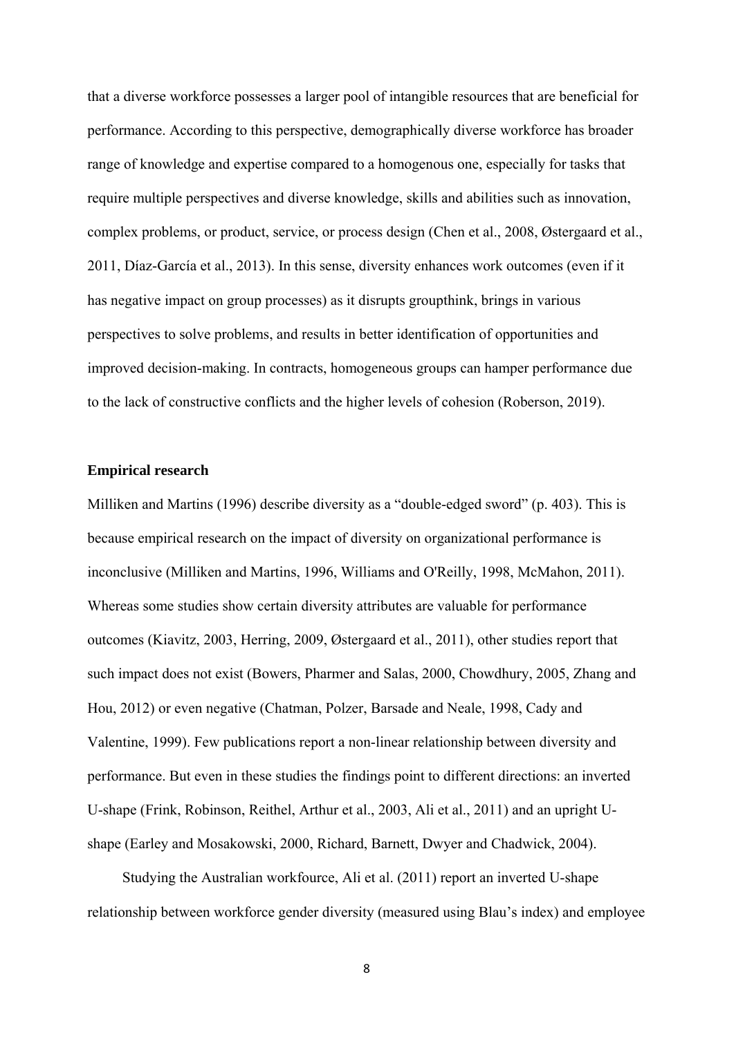that a diverse workforce possesses a larger pool of intangible resources that are beneficial for performance. According to this perspective, demographically diverse workforce has broader range of knowledge and expertise compared to a homogenous one, especially for tasks that require multiple perspectives and diverse knowledge, skills and abilities such as innovation, complex problems, or product, service, or process design (Chen et al., 2008, Østergaard et al., 2011, Díaz-García et al., 2013). In this sense, diversity enhances work outcomes (even if it has negative impact on group processes) as it disrupts groupthink, brings in various perspectives to solve problems, and results in better identification of opportunities and improved decision-making. In contracts, homogeneous groups can hamper performance due to the lack of constructive conflicts and the higher levels of cohesion (Roberson, 2019).

#### **Empirical research**

Milliken and Martins (1996) describe diversity as a "double-edged sword" (p. 403). This is because empirical research on the impact of diversity on organizational performance is inconclusive (Milliken and Martins, 1996, Williams and O'Reilly, 1998, McMahon, 2011). Whereas some studies show certain diversity attributes are valuable for performance outcomes (Kiavitz, 2003, Herring, 2009, Østergaard et al., 2011), other studies report that such impact does not exist (Bowers, Pharmer and Salas, 2000, Chowdhury, 2005, Zhang and Hou, 2012) or even negative (Chatman, Polzer, Barsade and Neale, 1998, Cady and Valentine, 1999). Few publications report a non-linear relationship between diversity and performance. But even in these studies the findings point to different directions: an inverted U-shape (Frink, Robinson, Reithel, Arthur et al., 2003, Ali et al., 2011) and an upright Ushape (Earley and Mosakowski, 2000, Richard, Barnett, Dwyer and Chadwick, 2004).

Studying the Australian workfource, Ali et al. (2011) report an inverted U-shape relationship between workforce gender diversity (measured using Blau's index) and employee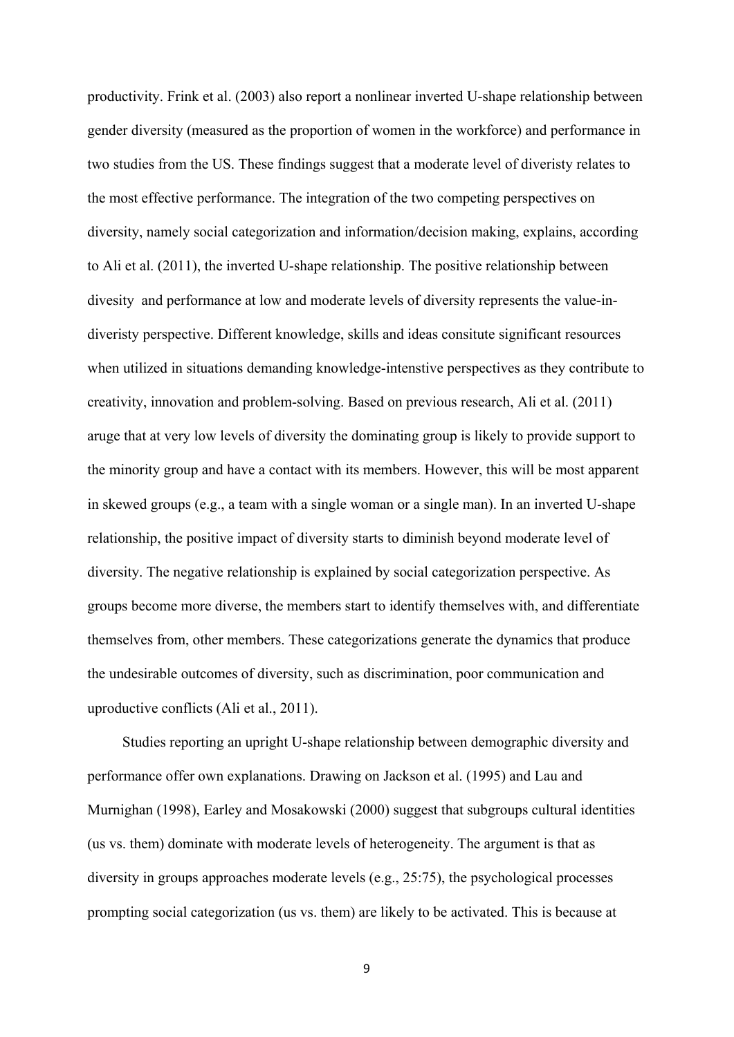productivity. Frink et al. (2003) also report a nonlinear inverted U-shape relationship between gender diversity (measured as the proportion of women in the workforce) and performance in two studies from the US. These findings suggest that a moderate level of diveristy relates to the most effective performance. The integration of the two competing perspectives on diversity, namely social categorization and information/decision making, explains, according to Ali et al. (2011), the inverted U-shape relationship. The positive relationship between divesity and performance at low and moderate levels of diversity represents the value-indiveristy perspective. Different knowledge, skills and ideas consitute significant resources when utilized in situations demanding knowledge-intenstive perspectives as they contribute to creativity, innovation and problem-solving. Based on previous research, Ali et al. (2011) aruge that at very low levels of diversity the dominating group is likely to provide support to the minority group and have a contact with its members. However, this will be most apparent in skewed groups (e.g., a team with a single woman or a single man). In an inverted U-shape relationship, the positive impact of diversity starts to diminish beyond moderate level of diversity. The negative relationship is explained by social categorization perspective. As groups become more diverse, the members start to identify themselves with, and differentiate themselves from, other members. These categorizations generate the dynamics that produce the undesirable outcomes of diversity, such as discrimination, poor communication and uproductive conflicts (Ali et al., 2011).

Studies reporting an upright U-shape relationship between demographic diversity and performance offer own explanations. Drawing on Jackson et al. (1995) and Lau and Murnighan (1998), Earley and Mosakowski (2000) suggest that subgroups cultural identities (us vs. them) dominate with moderate levels of heterogeneity. The argument is that as diversity in groups approaches moderate levels (e.g., 25:75), the psychological processes prompting social categorization (us vs. them) are likely to be activated. This is because at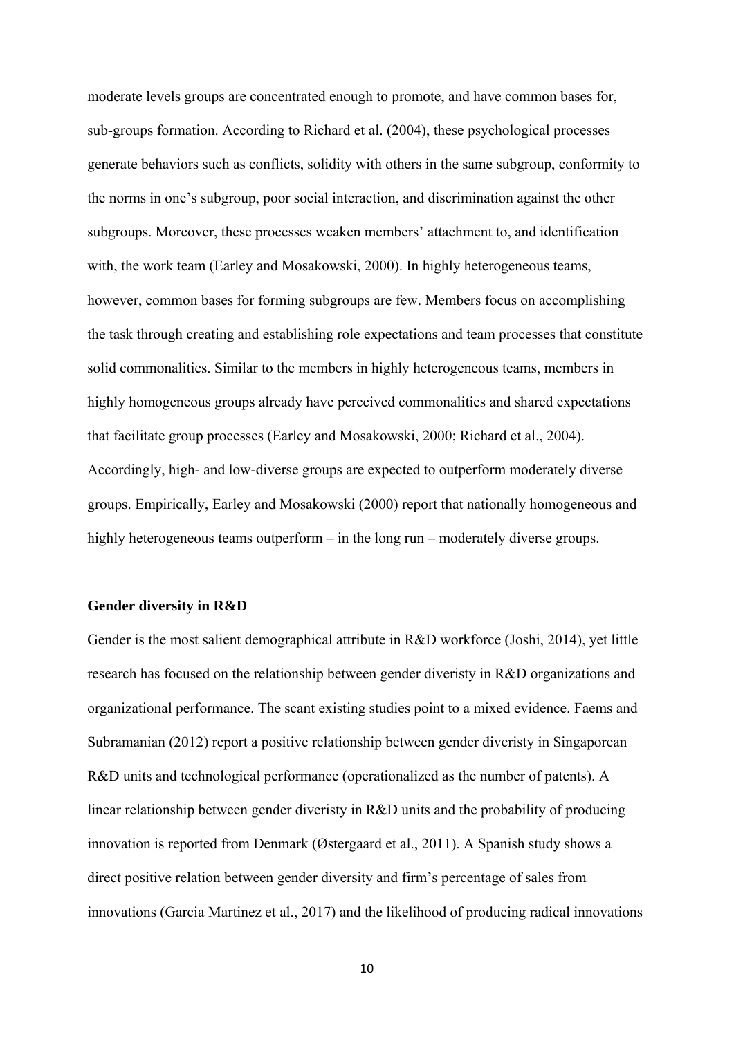moderate levels groups are concentrated enough to promote, and have common bases for, sub-groups formation. According to Richard et al. (2004), these psychological processes generate behaviors such as conflicts, solidity with others in the same subgroup, conformity to the norms in one's subgroup, poor social interaction, and discrimination against the other subgroups. Moreover, these processes weaken members' attachment to, and identification with, the work team (Earley and Mosakowski, 2000). In highly heterogeneous teams, however, common bases for forming subgroups are few. Members focus on accomplishing the task through creating and establishing role expectations and team processes that constitute solid commonalities. Similar to the members in highly heterogeneous teams, members in highly homogeneous groups already have perceived commonalities and shared expectations that facilitate group processes (Earley and Mosakowski, 2000; Richard et al., 2004). Accordingly, high- and low-diverse groups are expected to outperform moderately diverse groups. Empirically, Earley and Mosakowski (2000) report that nationally homogeneous and highly heterogeneous teams outperform – in the long run – moderately diverse groups.

#### **Gender diversity in R&D**

Gender is the most salient demographical attribute in R&D workforce (Joshi, 2014), yet little research has focused on the relationship between gender diveristy in R&D organizations and organizational performance. The scant existing studies point to a mixed evidence. Faems and Subramanian (2012) report a positive relationship between gender diveristy in Singaporean R&D units and technological performance (operationalized as the number of patents). A linear relationship between gender diveristy in R&D units and the probability of producing innovation is reported from Denmark (Østergaard et al., 2011). A Spanish study shows a direct positive relation between gender diversity and firm's percentage of sales from innovations (Garcia Martinez et al., 2017) and the likelihood of producing radical innovations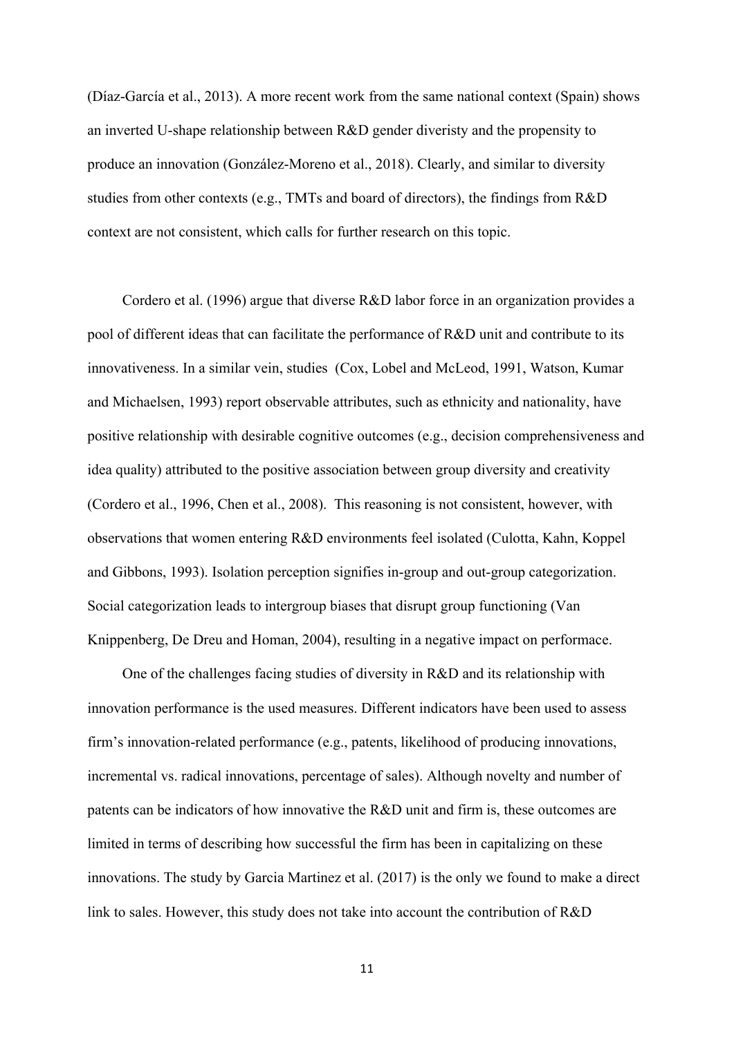(Díaz-García et al., 2013). A more recent work from the same national context (Spain) shows an inverted U-shape relationship between R&D gender diveristy and the propensity to produce an innovation (González-Moreno et al., 2018). Clearly, and similar to diversity studies from other contexts (e.g., TMTs and board of directors), the findings from R&D context are not consistent, which calls for further research on this topic.

Cordero et al. (1996) argue that diverse R&D labor force in an organization provides a pool of different ideas that can facilitate the performance of R&D unit and contribute to its innovativeness. In a similar vein, studies (Cox, Lobel and McLeod, 1991, Watson, Kumar and Michaelsen, 1993) report observable attributes, such as ethnicity and nationality, have positive relationship with desirable cognitive outcomes (e.g., decision comprehensiveness and idea quality) attributed to the positive association between group diversity and creativity (Cordero et al., 1996, Chen et al., 2008). This reasoning is not consistent, however, with observations that women entering R&D environments feel isolated (Culotta, Kahn, Koppel and Gibbons, 1993). Isolation perception signifies in-group and out-group categorization. Social categorization leads to intergroup biases that disrupt group functioning (Van Knippenberg, De Dreu and Homan, 2004), resulting in a negative impact on performace.

One of the challenges facing studies of diversity in R&D and its relationship with innovation performance is the used measures. Different indicators have been used to assess firm's innovation-related performance (e.g., patents, likelihood of producing innovations, incremental vs. radical innovations, percentage of sales). Although novelty and number of patents can be indicators of how innovative the R&D unit and firm is, these outcomes are limited in terms of describing how successful the firm has been in capitalizing on these innovations. The study by Garcia Martinez et al. (2017) is the only we found to make a direct link to sales. However, this study does not take into account the contribution of R&D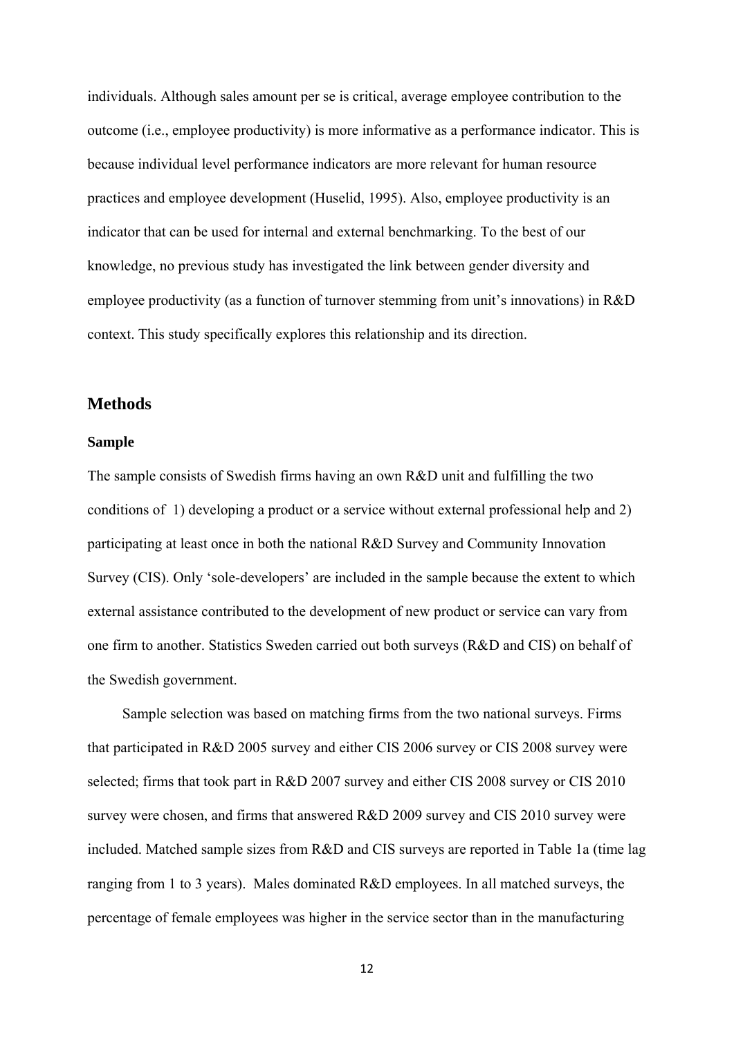individuals. Although sales amount per se is critical, average employee contribution to the outcome (i.e., employee productivity) is more informative as a performance indicator. This is because individual level performance indicators are more relevant for human resource practices and employee development (Huselid, 1995). Also, employee productivity is an indicator that can be used for internal and external benchmarking. To the best of our knowledge, no previous study has investigated the link between gender diversity and employee productivity (as a function of turnover stemming from unit's innovations) in R&D context. This study specifically explores this relationship and its direction.

## **Methods**

#### **Sample**

The sample consists of Swedish firms having an own R&D unit and fulfilling the two conditions of 1) developing a product or a service without external professional help and 2) participating at least once in both the national R&D Survey and Community Innovation Survey (CIS). Only 'sole-developers' are included in the sample because the extent to which external assistance contributed to the development of new product or service can vary from one firm to another. Statistics Sweden carried out both surveys (R&D and CIS) on behalf of the Swedish government.

Sample selection was based on matching firms from the two national surveys. Firms that participated in R&D 2005 survey and either CIS 2006 survey or CIS 2008 survey were selected; firms that took part in R&D 2007 survey and either CIS 2008 survey or CIS 2010 survey were chosen, and firms that answered R&D 2009 survey and CIS 2010 survey were included. Matched sample sizes from R&D and CIS surveys are reported in Table 1a (time lag ranging from 1 to 3 years). Males dominated R&D employees. In all matched surveys, the percentage of female employees was higher in the service sector than in the manufacturing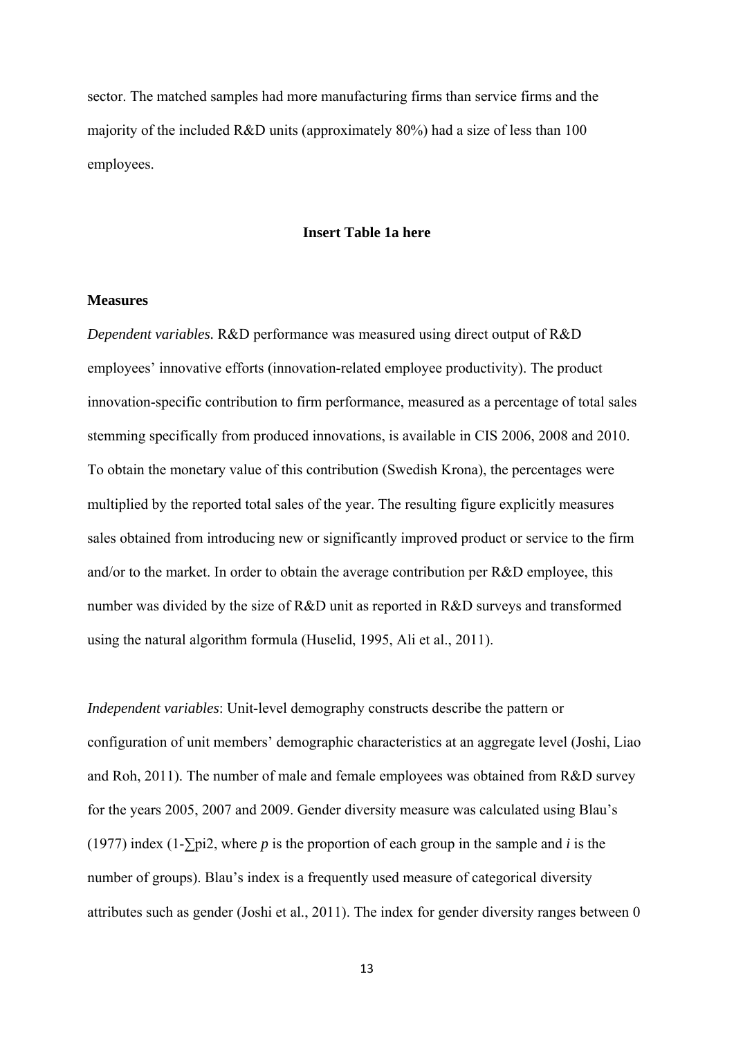sector. The matched samples had more manufacturing firms than service firms and the majority of the included R&D units (approximately 80%) had a size of less than 100 employees.

#### **Insert Table 1a here**

#### **Measures**

*Dependent variables.* R&D performance was measured using direct output of R&D employees' innovative efforts (innovation-related employee productivity). The product innovation-specific contribution to firm performance, measured as a percentage of total sales stemming specifically from produced innovations, is available in CIS 2006, 2008 and 2010. To obtain the monetary value of this contribution (Swedish Krona), the percentages were multiplied by the reported total sales of the year. The resulting figure explicitly measures sales obtained from introducing new or significantly improved product or service to the firm and/or to the market. In order to obtain the average contribution per R&D employee, this number was divided by the size of R&D unit as reported in R&D surveys and transformed using the natural algorithm formula (Huselid, 1995, Ali et al., 2011).

*Independent variables*: Unit-level demography constructs describe the pattern or configuration of unit members' demographic characteristics at an aggregate level (Joshi, Liao and Roh, 2011). The number of male and female employees was obtained from R&D survey for the years 2005, 2007 and 2009. Gender diversity measure was calculated using Blau's (1977) index (1-∑pi2, where *p* is the proportion of each group in the sample and *i* is the number of groups). Blau's index is a frequently used measure of categorical diversity attributes such as gender (Joshi et al., 2011). The index for gender diversity ranges between 0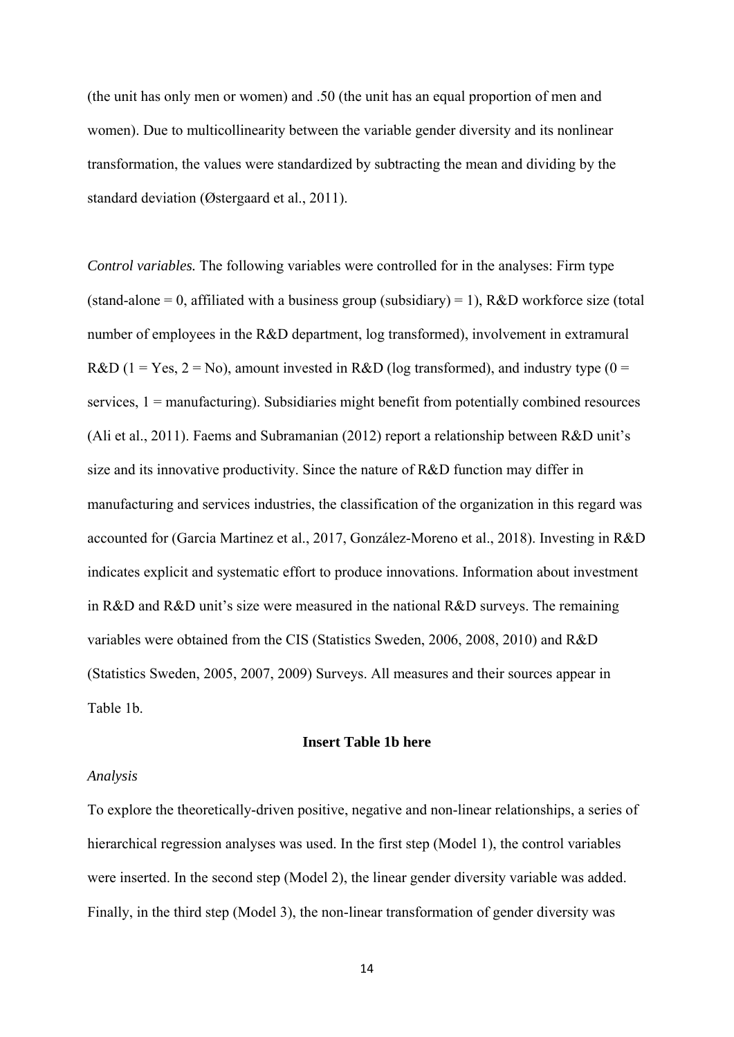(the unit has only men or women) and .50 (the unit has an equal proportion of men and women). Due to multicollinearity between the variable gender diversity and its nonlinear transformation, the values were standardized by subtracting the mean and dividing by the standard deviation (Østergaard et al., 2011).

*Control variables.* The following variables were controlled for in the analyses: Firm type (stand-alone = 0, affiliated with a business group (subsidiary) = 1),  $R&D$  workforce size (total number of employees in the R&D department, log transformed), involvement in extramural R&D (1 = Yes, 2 = No), amount invested in R&D (log transformed), and industry type (0 = services,  $1 =$  manufacturing). Subsidiaries might benefit from potentially combined resources (Ali et al., 2011). Faems and Subramanian (2012) report a relationship between R&D unit's size and its innovative productivity. Since the nature of R&D function may differ in manufacturing and services industries, the classification of the organization in this regard was accounted for (Garcia Martinez et al., 2017, González-Moreno et al., 2018). Investing in R&D indicates explicit and systematic effort to produce innovations. Information about investment in R&D and R&D unit's size were measured in the national R&D surveys. The remaining variables were obtained from the CIS (Statistics Sweden, 2006, 2008, 2010) and R&D (Statistics Sweden, 2005, 2007, 2009) Surveys. All measures and their sources appear in Table 1b.

#### **Insert Table 1b here**

#### *Analysis*

To explore the theoretically-driven positive, negative and non-linear relationships, a series of hierarchical regression analyses was used. In the first step (Model 1), the control variables were inserted. In the second step (Model 2), the linear gender diversity variable was added. Finally, in the third step (Model 3), the non-linear transformation of gender diversity was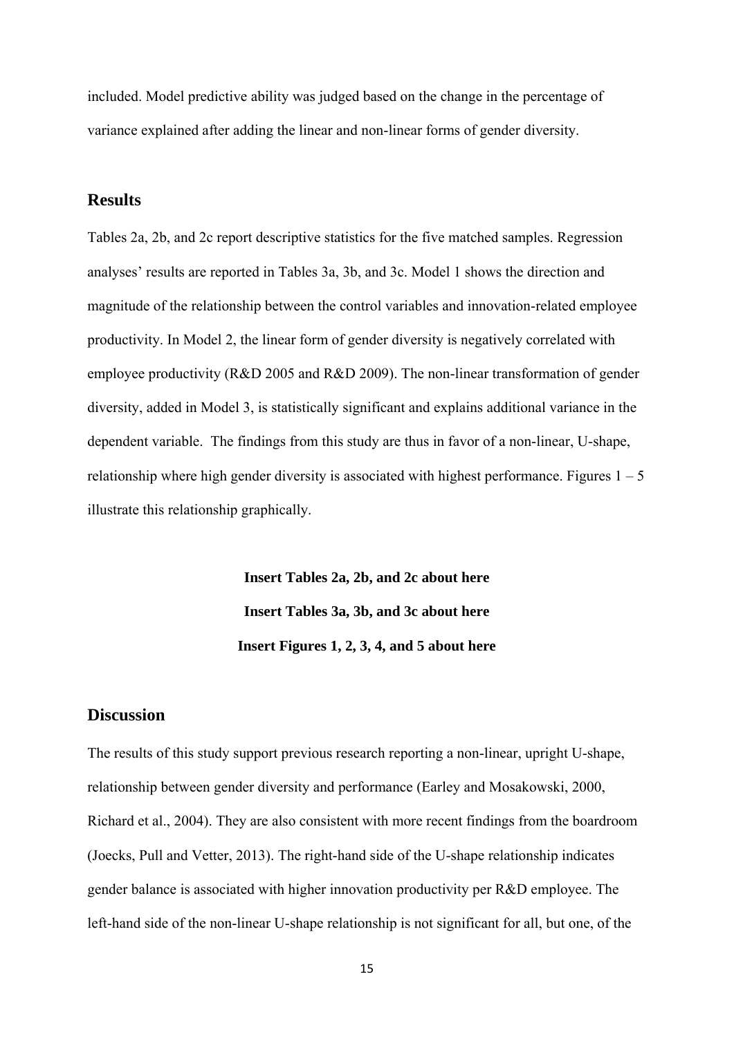included. Model predictive ability was judged based on the change in the percentage of variance explained after adding the linear and non-linear forms of gender diversity.

## **Results**

Tables 2a, 2b, and 2c report descriptive statistics for the five matched samples. Regression analyses' results are reported in Tables 3a, 3b, and 3c. Model 1 shows the direction and magnitude of the relationship between the control variables and innovation-related employee productivity. In Model 2, the linear form of gender diversity is negatively correlated with employee productivity (R&D 2005 and R&D 2009). The non-linear transformation of gender diversity, added in Model 3, is statistically significant and explains additional variance in the dependent variable. The findings from this study are thus in favor of a non-linear, U-shape, relationship where high gender diversity is associated with highest performance. Figures  $1 - 5$ illustrate this relationship graphically.

> **Insert Tables 2a, 2b, and 2c about here Insert Tables 3a, 3b, and 3c about here Insert Figures 1, 2, 3, 4, and 5 about here**

### **Discussion**

The results of this study support previous research reporting a non-linear, upright U-shape, relationship between gender diversity and performance (Earley and Mosakowski, 2000, Richard et al., 2004). They are also consistent with more recent findings from the boardroom (Joecks, Pull and Vetter, 2013). The right-hand side of the U-shape relationship indicates gender balance is associated with higher innovation productivity per R&D employee. The left-hand side of the non-linear U-shape relationship is not significant for all, but one, of the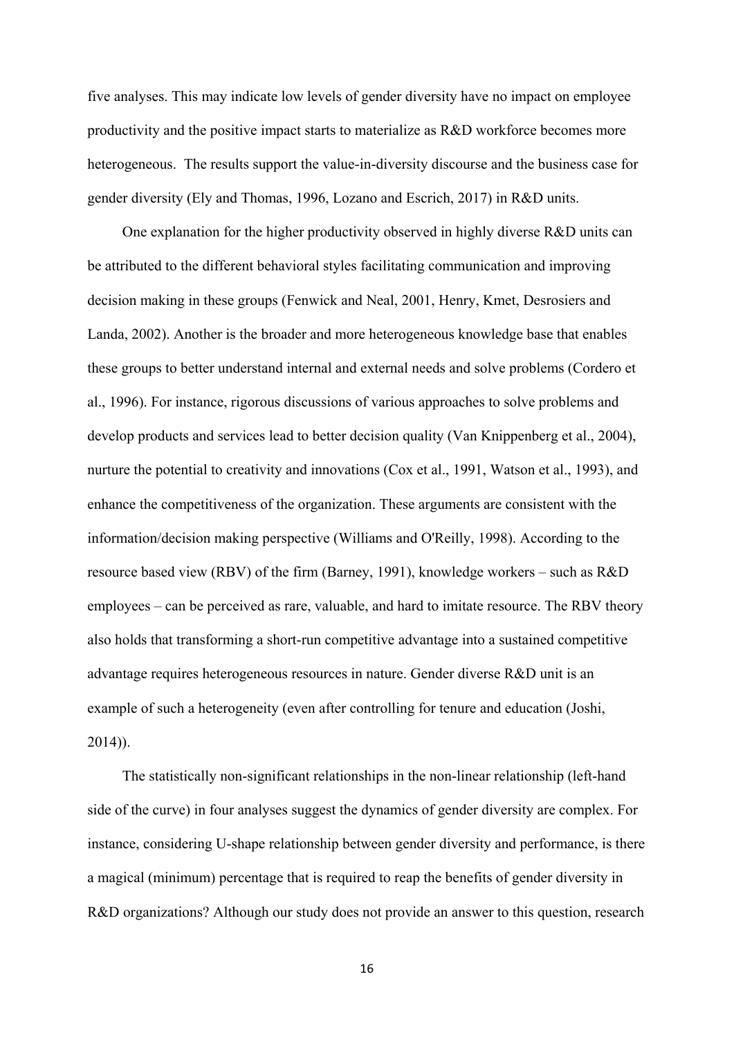five analyses. This may indicate low levels of gender diversity have no impact on employee productivity and the positive impact starts to materialize as R&D workforce becomes more heterogeneous. The results support the value-in-diversity discourse and the business case for gender diversity (Ely and Thomas, 1996, Lozano and Escrich, 2017) in R&D units.

One explanation for the higher productivity observed in highly diverse R&D units can be attributed to the different behavioral styles facilitating communication and improving decision making in these groups (Fenwick and Neal, 2001, Henry, Kmet, Desrosiers and Landa, 2002). Another is the broader and more heterogeneous knowledge base that enables these groups to better understand internal and external needs and solve problems (Cordero et al., 1996). For instance, rigorous discussions of various approaches to solve problems and develop products and services lead to better decision quality (Van Knippenberg et al., 2004), nurture the potential to creativity and innovations (Cox et al., 1991, Watson et al., 1993), and enhance the competitiveness of the organization. These arguments are consistent with the information/decision making perspective (Williams and O'Reilly, 1998). According to the resource based view (RBV) of the firm (Barney, 1991), knowledge workers – such as R&D employees – can be perceived as rare, valuable, and hard to imitate resource. The RBV theory also holds that transforming a short-run competitive advantage into a sustained competitive advantage requires heterogeneous resources in nature. Gender diverse R&D unit is an example of such a heterogeneity (even after controlling for tenure and education (Joshi, 2014)).

The statistically non-significant relationships in the non-linear relationship (left-hand side of the curve) in four analyses suggest the dynamics of gender diversity are complex. For instance, considering U-shape relationship between gender diversity and performance, is there a magical (minimum) percentage that is required to reap the benefits of gender diversity in R&D organizations? Although our study does not provide an answer to this question, research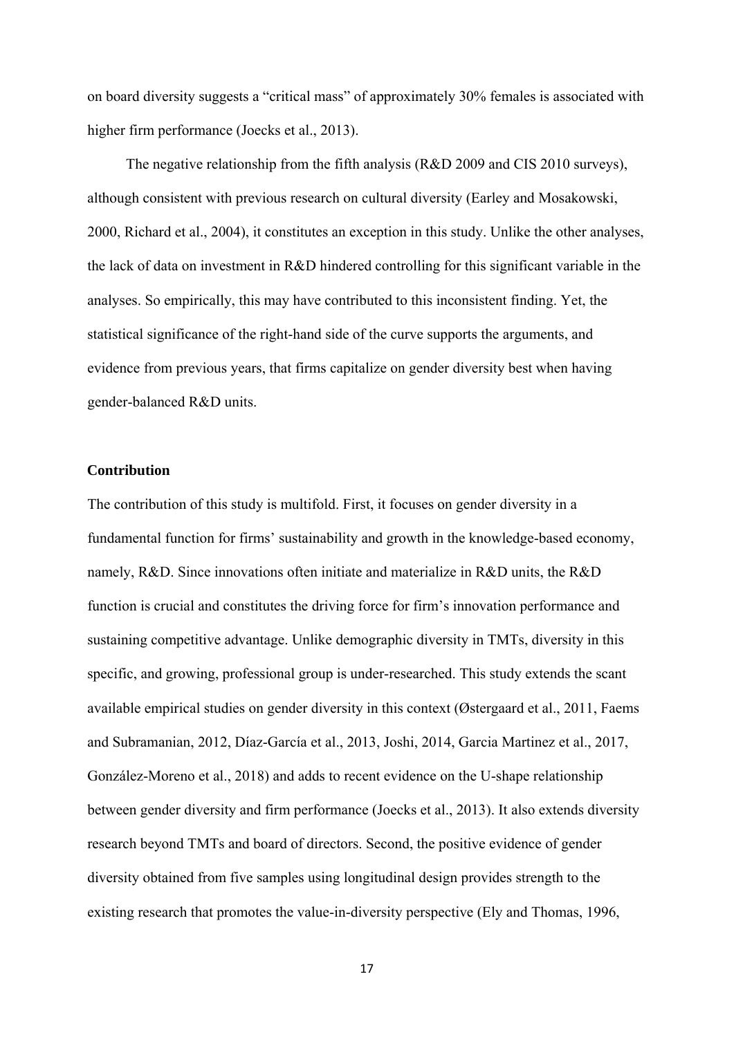on board diversity suggests a "critical mass" of approximately 30% females is associated with higher firm performance (Joecks et al., 2013).

 The negative relationship from the fifth analysis (R&D 2009 and CIS 2010 surveys), although consistent with previous research on cultural diversity (Earley and Mosakowski, 2000, Richard et al., 2004), it constitutes an exception in this study. Unlike the other analyses, the lack of data on investment in R&D hindered controlling for this significant variable in the analyses. So empirically, this may have contributed to this inconsistent finding. Yet, the statistical significance of the right-hand side of the curve supports the arguments, and evidence from previous years, that firms capitalize on gender diversity best when having gender-balanced R&D units.

#### **Contribution**

The contribution of this study is multifold. First, it focuses on gender diversity in a fundamental function for firms' sustainability and growth in the knowledge-based economy, namely, R&D. Since innovations often initiate and materialize in R&D units, the R&D function is crucial and constitutes the driving force for firm's innovation performance and sustaining competitive advantage. Unlike demographic diversity in TMTs, diversity in this specific, and growing, professional group is under-researched. This study extends the scant available empirical studies on gender diversity in this context (Østergaard et al., 2011, Faems and Subramanian, 2012, Díaz-García et al., 2013, Joshi, 2014, Garcia Martinez et al., 2017, González-Moreno et al., 2018) and adds to recent evidence on the U-shape relationship between gender diversity and firm performance (Joecks et al., 2013). It also extends diversity research beyond TMTs and board of directors. Second, the positive evidence of gender diversity obtained from five samples using longitudinal design provides strength to the existing research that promotes the value-in-diversity perspective (Ely and Thomas, 1996,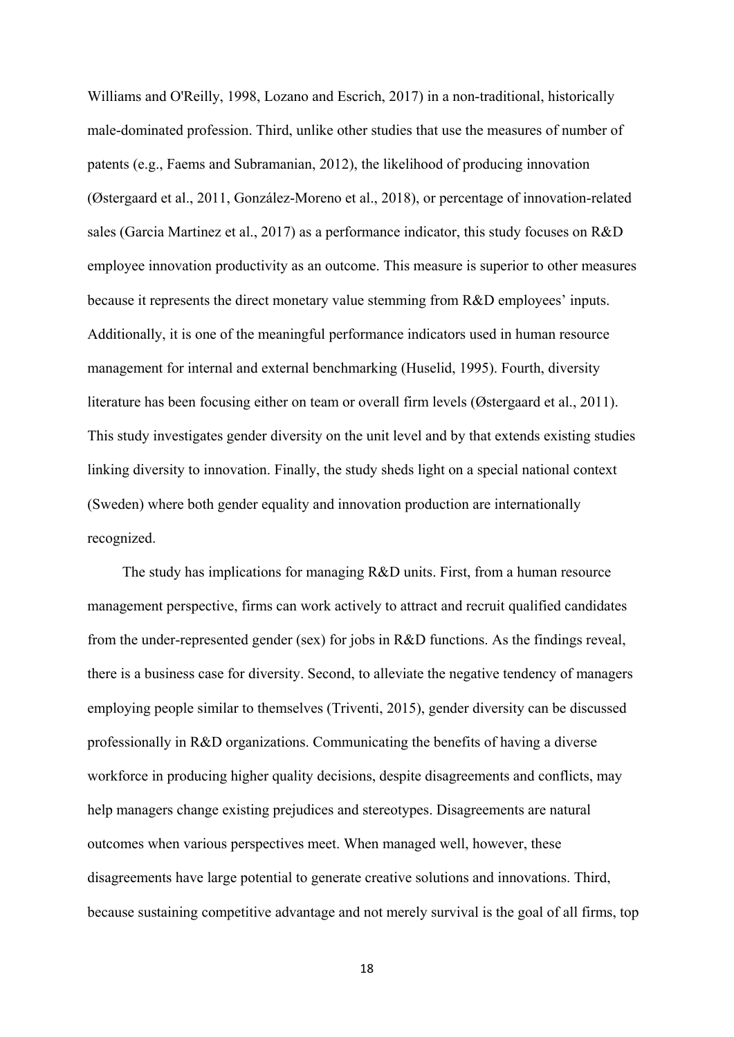Williams and O'Reilly, 1998, Lozano and Escrich, 2017) in a non-traditional, historically male-dominated profession. Third, unlike other studies that use the measures of number of patents (e.g., Faems and Subramanian, 2012), the likelihood of producing innovation (Østergaard et al., 2011, González-Moreno et al., 2018), or percentage of innovation-related sales (Garcia Martinez et al., 2017) as a performance indicator, this study focuses on R&D employee innovation productivity as an outcome. This measure is superior to other measures because it represents the direct monetary value stemming from R&D employees' inputs. Additionally, it is one of the meaningful performance indicators used in human resource management for internal and external benchmarking (Huselid, 1995). Fourth, diversity literature has been focusing either on team or overall firm levels (Østergaard et al., 2011). This study investigates gender diversity on the unit level and by that extends existing studies linking diversity to innovation. Finally, the study sheds light on a special national context (Sweden) where both gender equality and innovation production are internationally recognized.

The study has implications for managing R&D units. First, from a human resource management perspective, firms can work actively to attract and recruit qualified candidates from the under-represented gender (sex) for jobs in R&D functions. As the findings reveal, there is a business case for diversity. Second, to alleviate the negative tendency of managers employing people similar to themselves (Triventi, 2015), gender diversity can be discussed professionally in R&D organizations. Communicating the benefits of having a diverse workforce in producing higher quality decisions, despite disagreements and conflicts, may help managers change existing prejudices and stereotypes. Disagreements are natural outcomes when various perspectives meet. When managed well, however, these disagreements have large potential to generate creative solutions and innovations. Third, because sustaining competitive advantage and not merely survival is the goal of all firms, top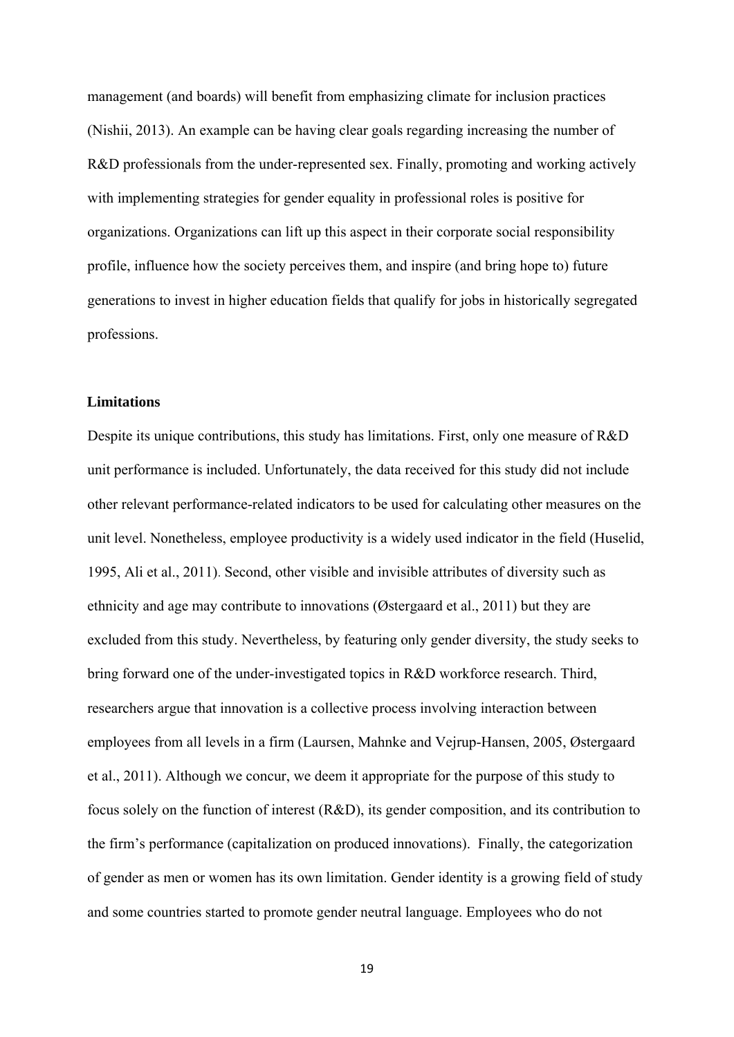management (and boards) will benefit from emphasizing climate for inclusion practices (Nishii, 2013). An example can be having clear goals regarding increasing the number of R&D professionals from the under-represented sex. Finally, promoting and working actively with implementing strategies for gender equality in professional roles is positive for organizations. Organizations can lift up this aspect in their corporate social responsibility profile, influence how the society perceives them, and inspire (and bring hope to) future generations to invest in higher education fields that qualify for jobs in historically segregated professions.

## **Limitations**

Despite its unique contributions, this study has limitations. First, only one measure of R&D unit performance is included. Unfortunately, the data received for this study did not include other relevant performance-related indicators to be used for calculating other measures on the unit level. Nonetheless, employee productivity is a widely used indicator in the field (Huselid, 1995, Ali et al., 2011). Second, other visible and invisible attributes of diversity such as ethnicity and age may contribute to innovations (Østergaard et al., 2011) but they are excluded from this study. Nevertheless, by featuring only gender diversity, the study seeks to bring forward one of the under-investigated topics in R&D workforce research. Third, researchers argue that innovation is a collective process involving interaction between employees from all levels in a firm (Laursen, Mahnke and Vejrup-Hansen, 2005, Østergaard et al., 2011). Although we concur, we deem it appropriate for the purpose of this study to focus solely on the function of interest (R&D), its gender composition, and its contribution to the firm's performance (capitalization on produced innovations). Finally, the categorization of gender as men or women has its own limitation. Gender identity is a growing field of study and some countries started to promote gender neutral language. Employees who do not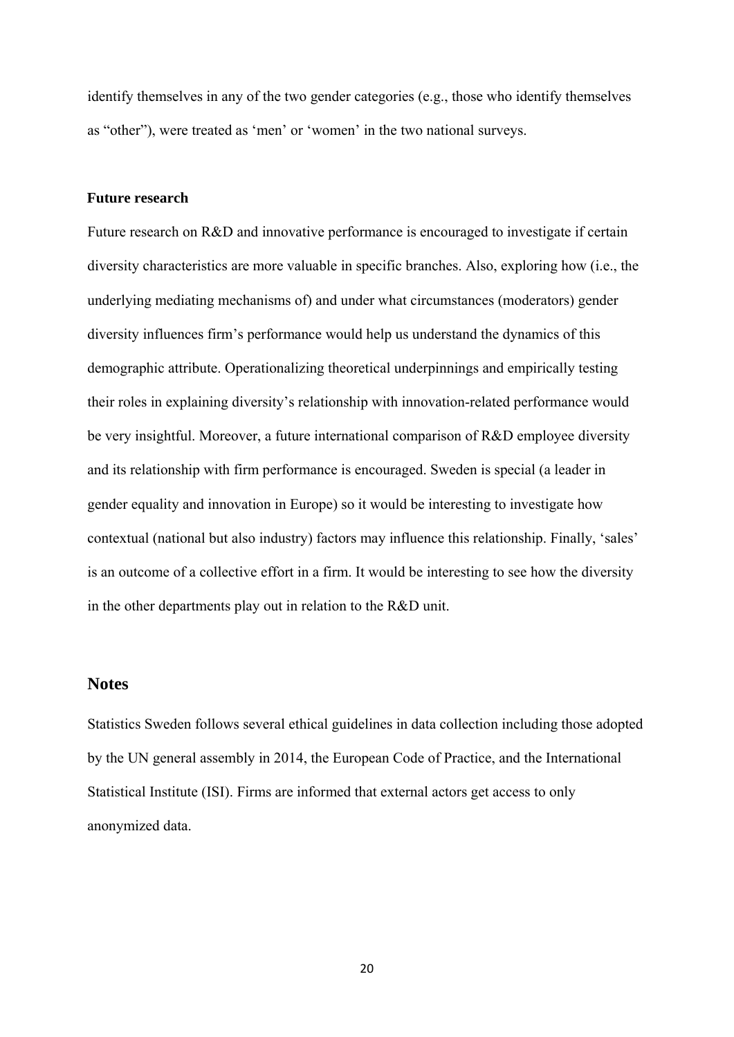identify themselves in any of the two gender categories (e.g., those who identify themselves as "other"), were treated as 'men' or 'women' in the two national surveys.

## **Future research**

Future research on R&D and innovative performance is encouraged to investigate if certain diversity characteristics are more valuable in specific branches. Also, exploring how (i.e., the underlying mediating mechanisms of) and under what circumstances (moderators) gender diversity influences firm's performance would help us understand the dynamics of this demographic attribute. Operationalizing theoretical underpinnings and empirically testing their roles in explaining diversity's relationship with innovation-related performance would be very insightful. Moreover, a future international comparison of R&D employee diversity and its relationship with firm performance is encouraged. Sweden is special (a leader in gender equality and innovation in Europe) so it would be interesting to investigate how contextual (national but also industry) factors may influence this relationship. Finally, 'sales' is an outcome of a collective effort in a firm. It would be interesting to see how the diversity in the other departments play out in relation to the R&D unit.

## **Notes**

Statistics Sweden follows several ethical guidelines in data collection including those adopted by the UN general assembly in 2014, the European Code of Practice, and the International Statistical Institute (ISI). Firms are informed that external actors get access to only anonymized data.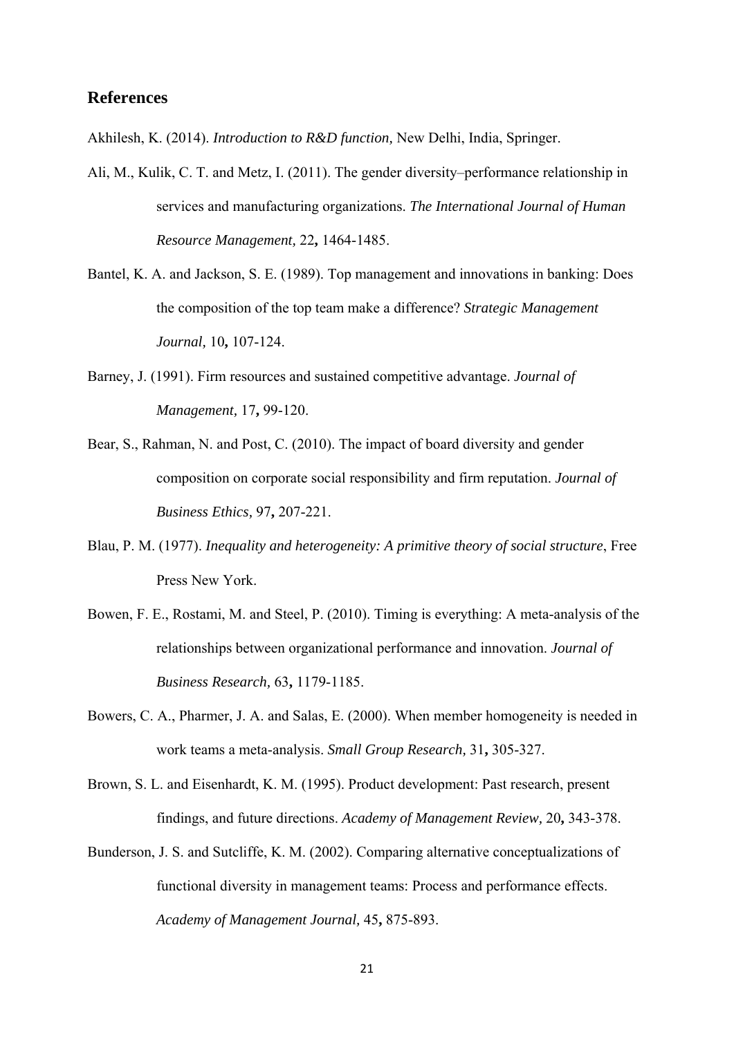## **References**

Akhilesh, K. (2014). *Introduction to R&D function,* New Delhi, India, Springer.

- Ali, M., Kulik, C. T. and Metz, I. (2011). The gender diversity–performance relationship in services and manufacturing organizations. *The International Journal of Human Resource Management,* 22**,** 1464-1485.
- Bantel, K. A. and Jackson, S. E. (1989). Top management and innovations in banking: Does the composition of the top team make a difference? *Strategic Management Journal,* 10**,** 107-124.
- Barney, J. (1991). Firm resources and sustained competitive advantage. *Journal of Management,* 17**,** 99-120.
- Bear, S., Rahman, N. and Post, C. (2010). The impact of board diversity and gender composition on corporate social responsibility and firm reputation. *Journal of Business Ethics,* 97**,** 207-221.
- Blau, P. M. (1977). *Inequality and heterogeneity: A primitive theory of social structure*, Free Press New York.
- Bowen, F. E., Rostami, M. and Steel, P. (2010). Timing is everything: A meta-analysis of the relationships between organizational performance and innovation. *Journal of Business Research,* 63**,** 1179-1185.
- Bowers, C. A., Pharmer, J. A. and Salas, E. (2000). When member homogeneity is needed in work teams a meta-analysis. *Small Group Research,* 31**,** 305-327.
- Brown, S. L. and Eisenhardt, K. M. (1995). Product development: Past research, present findings, and future directions. *Academy of Management Review,* 20**,** 343-378.
- Bunderson, J. S. and Sutcliffe, K. M. (2002). Comparing alternative conceptualizations of functional diversity in management teams: Process and performance effects. *Academy of Management Journal,* 45**,** 875-893.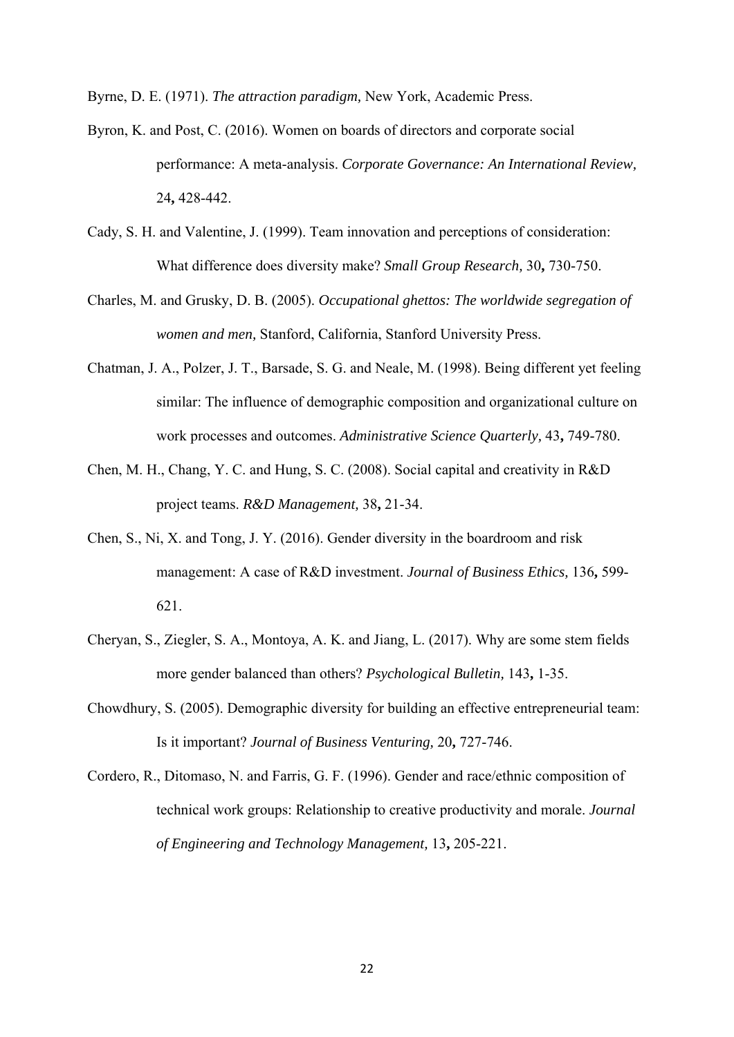Byrne, D. E. (1971). *The attraction paradigm,* New York, Academic Press.

- Byron, K. and Post, C. (2016). Women on boards of directors and corporate social performance: A meta‐analysis. *Corporate Governance: An International Review,* 24**,** 428-442.
- Cady, S. H. and Valentine, J. (1999). Team innovation and perceptions of consideration: What difference does diversity make? *Small Group Research,* 30**,** 730-750.
- Charles, M. and Grusky, D. B. (2005). *Occupational ghettos: The worldwide segregation of women and men,* Stanford, California, Stanford University Press.
- Chatman, J. A., Polzer, J. T., Barsade, S. G. and Neale, M. (1998). Being different yet feeling similar: The influence of demographic composition and organizational culture on work processes and outcomes. *Administrative Science Quarterly,* 43**,** 749-780.
- Chen, M. H., Chang, Y. C. and Hung, S. C. (2008). Social capital and creativity in R&D project teams. *R&D Management,* 38**,** 21-34.
- Chen, S., Ni, X. and Tong, J. Y. (2016). Gender diversity in the boardroom and risk management: A case of R&D investment. *Journal of Business Ethics,* 136**,** 599- 621.
- Cheryan, S., Ziegler, S. A., Montoya, A. K. and Jiang, L. (2017). Why are some stem fields more gender balanced than others? *Psychological Bulletin,* 143**,** 1-35.
- Chowdhury, S. (2005). Demographic diversity for building an effective entrepreneurial team: Is it important? *Journal of Business Venturing,* 20**,** 727-746.
- Cordero, R., Ditomaso, N. and Farris, G. F. (1996). Gender and race/ethnic composition of technical work groups: Relationship to creative productivity and morale. *Journal of Engineering and Technology Management,* 13**,** 205-221.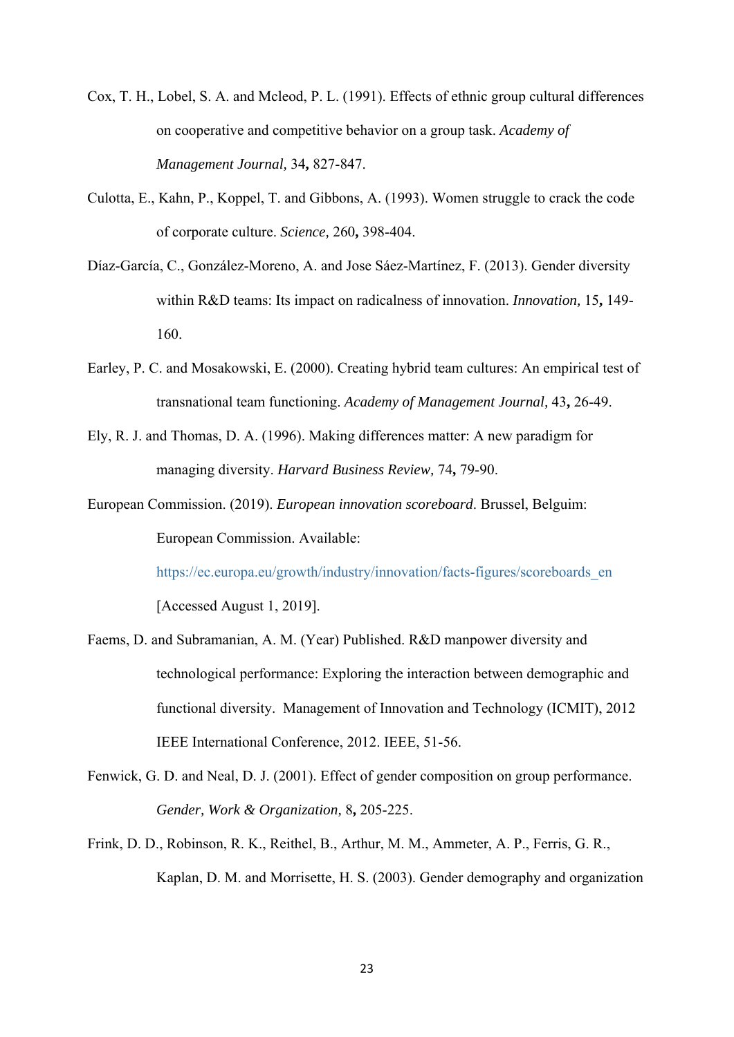- Cox, T. H., Lobel, S. A. and Mcleod, P. L. (1991). Effects of ethnic group cultural differences on cooperative and competitive behavior on a group task. *Academy of Management Journal,* 34**,** 827-847.
- Culotta, E., Kahn, P., Koppel, T. and Gibbons, A. (1993). Women struggle to crack the code of corporate culture. *Science,* 260**,** 398-404.
- Díaz-García, C., González-Moreno, A. and Jose Sáez-Martínez, F. (2013). Gender diversity within R&D teams: Its impact on radicalness of innovation. *Innovation,* 15**,** 149- 160.
- Earley, P. C. and Mosakowski, E. (2000). Creating hybrid team cultures: An empirical test of transnational team functioning. *Academy of Management Journal,* 43**,** 26-49.
- Ely, R. J. and Thomas, D. A. (1996). Making differences matter: A new paradigm for managing diversity. *Harvard Business Review,* 74**,** 79-90.
- European Commission. (2019). *European innovation scoreboard*. Brussel, Belguim: European Commission. Available:

https://ec.europa.eu/growth/industry/innovation/facts-figures/scoreboards\_en [Accessed August 1, 2019].

- Faems, D. and Subramanian, A. M. (Year) Published. R&D manpower diversity and technological performance: Exploring the interaction between demographic and functional diversity. Management of Innovation and Technology (ICMIT), 2012 IEEE International Conference, 2012. IEEE, 51-56.
- Fenwick, G. D. and Neal, D. J. (2001). Effect of gender composition on group performance. *Gender, Work & Organization,* 8**,** 205-225.
- Frink, D. D., Robinson, R. K., Reithel, B., Arthur, M. M., Ammeter, A. P., Ferris, G. R., Kaplan, D. M. and Morrisette, H. S. (2003). Gender demography and organization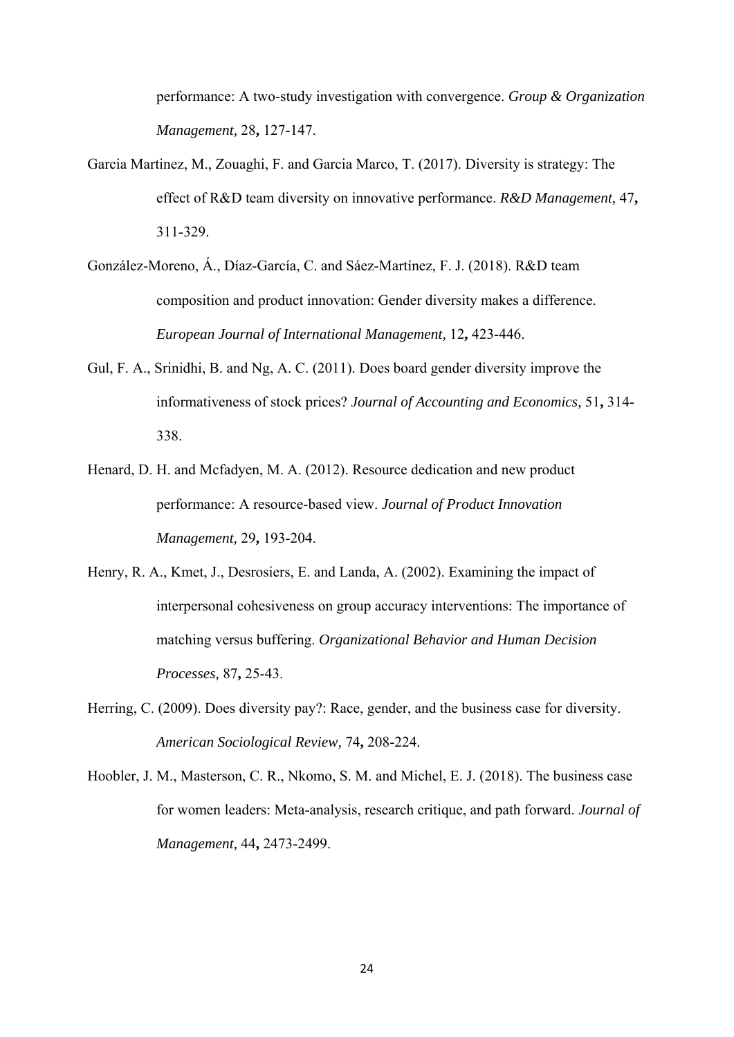performance: A two-study investigation with convergence. *Group & Organization Management,* 28**,** 127-147.

- Garcia Martinez, M., Zouaghi, F. and Garcia Marco, T. (2017). Diversity is strategy: The effect of R&D team diversity on innovative performance. *R&D Management,* 47**,** 311-329.
- González-Moreno, Á., Díaz-García, C. and Sáez-Martínez, F. J. (2018). R&D team composition and product innovation: Gender diversity makes a difference. *European Journal of International Management,* 12**,** 423-446.
- Gul, F. A., Srinidhi, B. and Ng, A. C. (2011). Does board gender diversity improve the informativeness of stock prices? *Journal of Accounting and Economics,* 51**,** 314- 338.
- Henard, D. H. and Mcfadyen, M. A. (2012). Resource dedication and new product performance: A resource-based view. *Journal of Product Innovation Management,* 29**,** 193-204.
- Henry, R. A., Kmet, J., Desrosiers, E. and Landa, A. (2002). Examining the impact of interpersonal cohesiveness on group accuracy interventions: The importance of matching versus buffering. *Organizational Behavior and Human Decision Processes,* 87**,** 25-43.
- Herring, C. (2009). Does diversity pay?: Race, gender, and the business case for diversity. *American Sociological Review,* 74**,** 208-224.
- Hoobler, J. M., Masterson, C. R., Nkomo, S. M. and Michel, E. J. (2018). The business case for women leaders: Meta-analysis, research critique, and path forward. *Journal of Management,* 44**,** 2473-2499.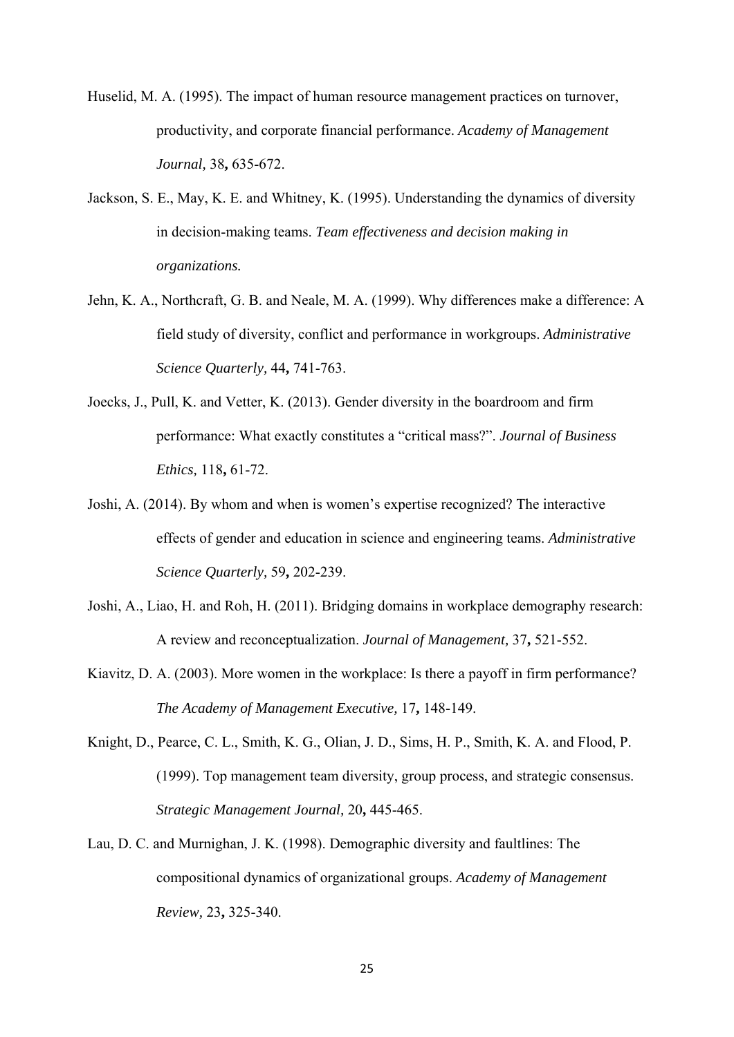Huselid, M. A. (1995). The impact of human resource management practices on turnover, productivity, and corporate financial performance. *Academy of Management Journal,* 38**,** 635-672.

- Jackson, S. E., May, K. E. and Whitney, K. (1995). Understanding the dynamics of diversity in decision-making teams. *Team effectiveness and decision making in organizations.*
- Jehn, K. A., Northcraft, G. B. and Neale, M. A. (1999). Why differences make a difference: A field study of diversity, conflict and performance in workgroups. *Administrative Science Quarterly,* 44**,** 741-763.
- Joecks, J., Pull, K. and Vetter, K. (2013). Gender diversity in the boardroom and firm performance: What exactly constitutes a "critical mass?". *Journal of Business Ethics,* 118**,** 61-72.
- Joshi, A. (2014). By whom and when is women's expertise recognized? The interactive effects of gender and education in science and engineering teams. *Administrative Science Quarterly,* 59**,** 202-239.
- Joshi, A., Liao, H. and Roh, H. (2011). Bridging domains in workplace demography research: A review and reconceptualization. *Journal of Management,* 37**,** 521-552.
- Kiavitz, D. A. (2003). More women in the workplace: Is there a payoff in firm performance? *The Academy of Management Executive,* 17**,** 148-149.
- Knight, D., Pearce, C. L., Smith, K. G., Olian, J. D., Sims, H. P., Smith, K. A. and Flood, P. (1999). Top management team diversity, group process, and strategic consensus. *Strategic Management Journal,* 20**,** 445-465.
- Lau, D. C. and Murnighan, J. K. (1998). Demographic diversity and faultlines: The compositional dynamics of organizational groups. *Academy of Management Review,* 23**,** 325-340.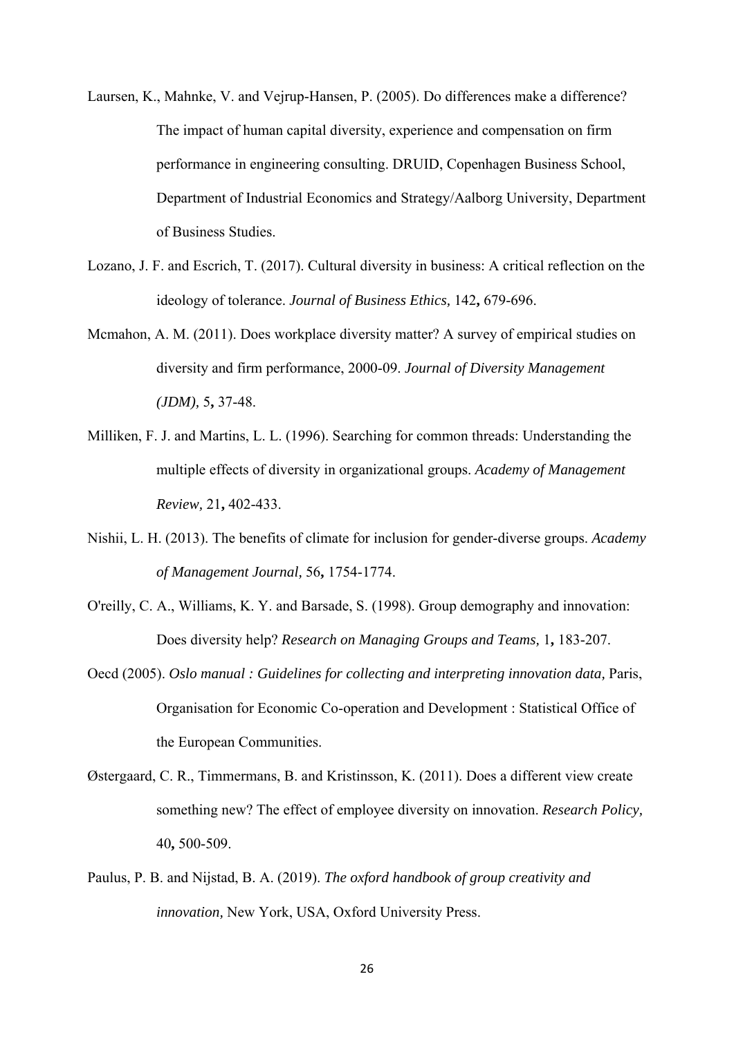- Laursen, K., Mahnke, V. and Vejrup-Hansen, P. (2005). Do differences make a difference? The impact of human capital diversity, experience and compensation on firm performance in engineering consulting. DRUID, Copenhagen Business School, Department of Industrial Economics and Strategy/Aalborg University, Department of Business Studies.
- Lozano, J. F. and Escrich, T. (2017). Cultural diversity in business: A critical reflection on the ideology of tolerance. *Journal of Business Ethics,* 142**,** 679-696.
- Mcmahon, A. M. (2011). Does workplace diversity matter? A survey of empirical studies on diversity and firm performance, 2000-09. *Journal of Diversity Management (JDM),* 5**,** 37-48.
- Milliken, F. J. and Martins, L. L. (1996). Searching for common threads: Understanding the multiple effects of diversity in organizational groups. *Academy of Management Review,* 21**,** 402-433.
- Nishii, L. H. (2013). The benefits of climate for inclusion for gender-diverse groups. *Academy of Management Journal,* 56**,** 1754-1774.
- O'reilly, C. A., Williams, K. Y. and Barsade, S. (1998). Group demography and innovation: Does diversity help? *Research on Managing Groups and Teams,* 1**,** 183-207.
- Oecd (2005). *Oslo manual : Guidelines for collecting and interpreting innovation data,* Paris, Organisation for Economic Co-operation and Development : Statistical Office of the European Communities.
- Østergaard, C. R., Timmermans, B. and Kristinsson, K. (2011). Does a different view create something new? The effect of employee diversity on innovation. *Research Policy,* 40**,** 500-509.
- Paulus, P. B. and Nijstad, B. A. (2019). *The oxford handbook of group creativity and innovation,* New York, USA, Oxford University Press.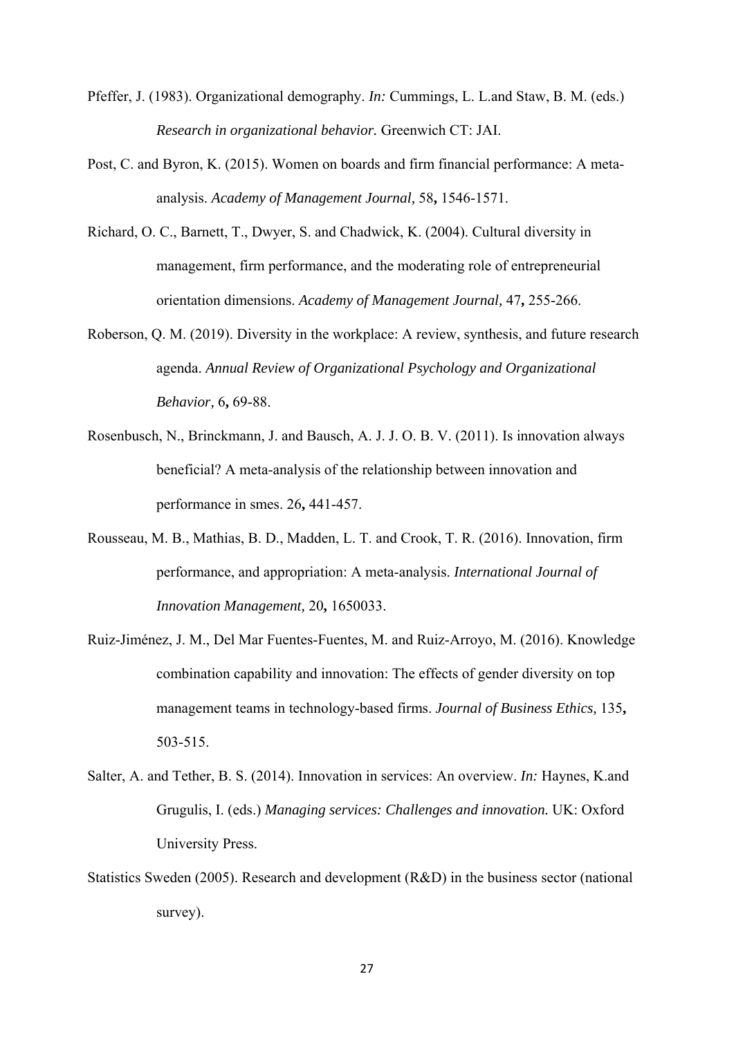- Pfeffer, J. (1983). Organizational demography. *In:* Cummings, L. L.and Staw, B. M. (eds.) *Research in organizational behavior.* Greenwich CT: JAI.
- Post, C. and Byron, K. (2015). Women on boards and firm financial performance: A metaanalysis. *Academy of Management Journal,* 58**,** 1546-1571.
- Richard, O. C., Barnett, T., Dwyer, S. and Chadwick, K. (2004). Cultural diversity in management, firm performance, and the moderating role of entrepreneurial orientation dimensions. *Academy of Management Journal,* 47**,** 255-266.
- Roberson, Q. M. (2019). Diversity in the workplace: A review, synthesis, and future research agenda. *Annual Review of Organizational Psychology and Organizational Behavior,* 6**,** 69-88.
- Rosenbusch, N., Brinckmann, J. and Bausch, A. J. J. O. B. V. (2011). Is innovation always beneficial? A meta-analysis of the relationship between innovation and performance in smes. 26**,** 441-457.
- Rousseau, M. B., Mathias, B. D., Madden, L. T. and Crook, T. R. (2016). Innovation, firm performance, and appropriation: A meta-analysis. *International Journal of Innovation Management,* 20**,** 1650033.
- Ruiz-Jiménez, J. M., Del Mar Fuentes-Fuentes, M. and Ruiz-Arroyo, M. (2016). Knowledge combination capability and innovation: The effects of gender diversity on top management teams in technology-based firms. *Journal of Business Ethics,* 135**,** 503-515.
- Salter, A. and Tether, B. S. (2014). Innovation in services: An overview. *In:* Haynes, K.and Grugulis, I. (eds.) *Managing services: Challenges and innovation.* UK: Oxford University Press.
- Statistics Sweden (2005). Research and development (R&D) in the business sector (national survey).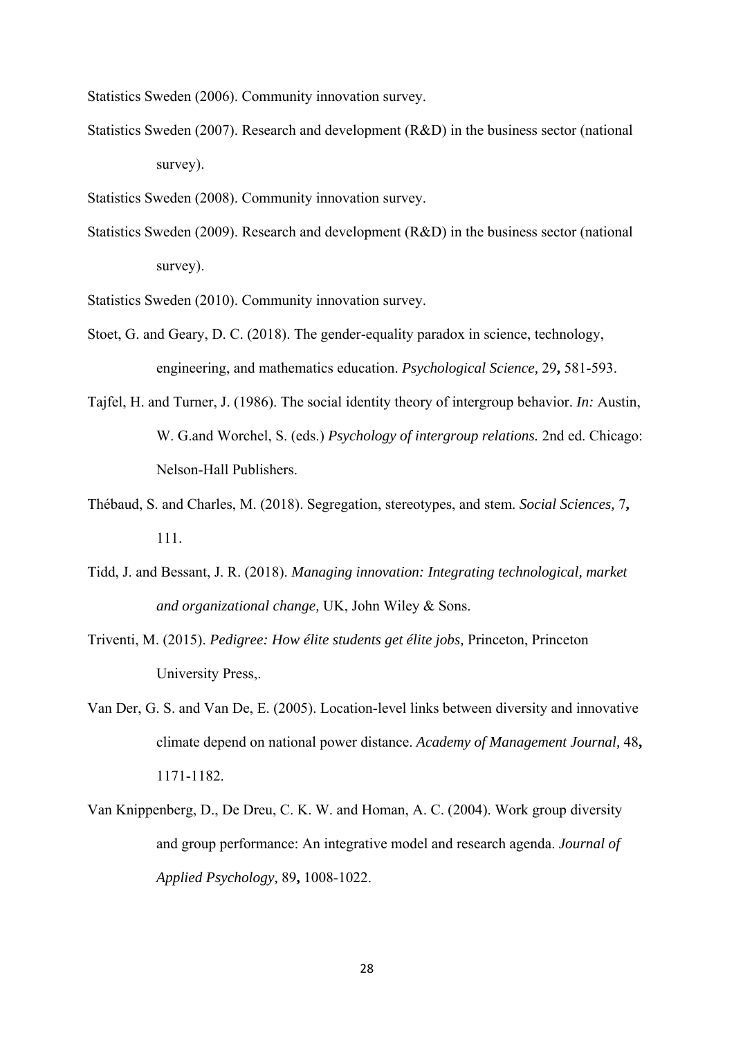Statistics Sweden (2006). Community innovation survey.

- Statistics Sweden (2007). Research and development (R&D) in the business sector (national survey).
- Statistics Sweden (2008). Community innovation survey.
- Statistics Sweden (2009). Research and development (R&D) in the business sector (national survey).
- Statistics Sweden (2010). Community innovation survey.
- Stoet, G. and Geary, D. C. (2018). The gender-equality paradox in science, technology, engineering, and mathematics education. *Psychological Science,* 29**,** 581-593.
- Tajfel, H. and Turner, J. (1986). The social identity theory of intergroup behavior. *In:* Austin, W. G.and Worchel, S. (eds.) *Psychology of intergroup relations.* 2nd ed. Chicago: Nelson-Hall Publishers.
- Thébaud, S. and Charles, M. (2018). Segregation, stereotypes, and stem. *Social Sciences,* 7**,** 111.
- Tidd, J. and Bessant, J. R. (2018). *Managing innovation: Integrating technological, market and organizational change,* UK, John Wiley & Sons.
- Triventi, M. (2015). *Pedigree: How élite students get élite jobs,* Princeton, Princeton University Press,.
- Van Der, G. S. and Van De, E. (2005). Location-level links between diversity and innovative climate depend on national power distance. *Academy of Management Journal,* 48**,** 1171-1182.
- Van Knippenberg, D., De Dreu, C. K. W. and Homan, A. C. (2004). Work group diversity and group performance: An integrative model and research agenda. *Journal of Applied Psychology,* 89**,** 1008-1022.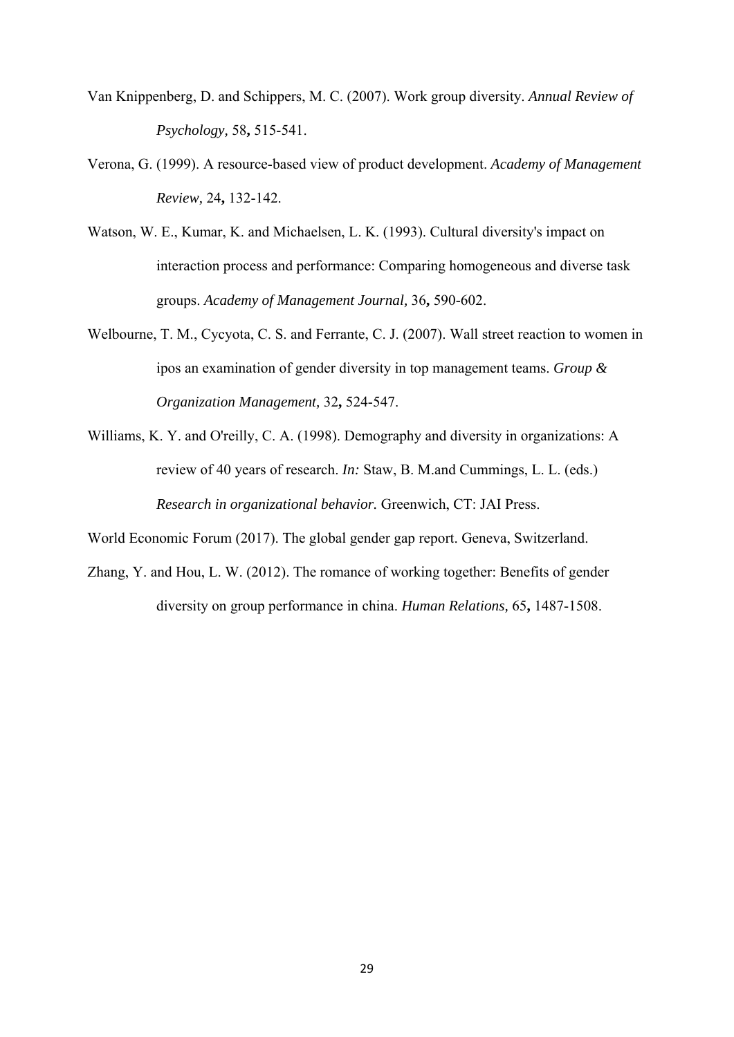- Van Knippenberg, D. and Schippers, M. C. (2007). Work group diversity. *Annual Review of Psychology,* 58**,** 515-541.
- Verona, G. (1999). A resource-based view of product development. *Academy of Management Review,* 24**,** 132-142.
- Watson, W. E., Kumar, K. and Michaelsen, L. K. (1993). Cultural diversity's impact on interaction process and performance: Comparing homogeneous and diverse task groups. *Academy of Management Journal,* 36**,** 590-602.
- Welbourne, T. M., Cycyota, C. S. and Ferrante, C. J. (2007). Wall street reaction to women in ipos an examination of gender diversity in top management teams. *Group & Organization Management,* 32**,** 524-547.
- Williams, K. Y. and O'reilly, C. A. (1998). Demography and diversity in organizations: A review of 40 years of research. *In:* Staw, B. M.and Cummings, L. L. (eds.) *Research in organizational behavior.* Greenwich, CT: JAI Press.

World Economic Forum (2017). The global gender gap report. Geneva, Switzerland.

Zhang, Y. and Hou, L. W. (2012). The romance of working together: Benefits of gender diversity on group performance in china. *Human Relations,* 65**,** 1487-1508.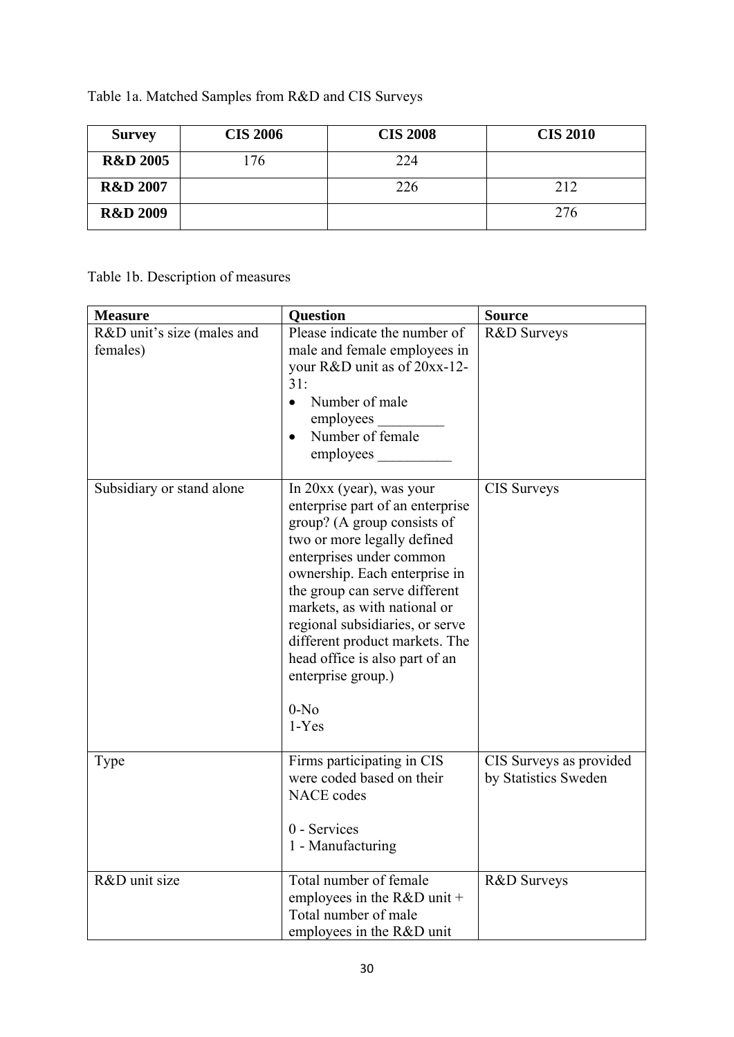Table 1a. Matched Samples from R&D and CIS Surveys

| <b>Survey</b>       | <b>CIS 2006</b> | <b>CIS 2008</b> | <b>CIS 2010</b> |
|---------------------|-----------------|-----------------|-----------------|
| <b>R&amp;D 2005</b> | .76             | 224             |                 |
| <b>R&amp;D 2007</b> |                 | 226             | 212             |
| <b>R&amp;D 2009</b> |                 |                 | 276             |

Table 1b. Description of measures

| <b>Measure</b>                         | <b>Question</b>                                                                                                                                                                                                                                                                                                                                                                                              | <b>Source</b>                                   |
|----------------------------------------|--------------------------------------------------------------------------------------------------------------------------------------------------------------------------------------------------------------------------------------------------------------------------------------------------------------------------------------------------------------------------------------------------------------|-------------------------------------------------|
| R&D unit's size (males and<br>females) | Please indicate the number of<br>male and female employees in<br>your R&D unit as of 20xx-12-<br>31:<br>Number of male<br>$\bullet$<br>employees<br>Number of female<br>$\bullet$<br>employees                                                                                                                                                                                                               | R&D Surveys                                     |
| Subsidiary or stand alone              | In $20xx$ (year), was your<br>enterprise part of an enterprise<br>group? (A group consists of<br>two or more legally defined<br>enterprises under common<br>ownership. Each enterprise in<br>the group can serve different<br>markets, as with national or<br>regional subsidiaries, or serve<br>different product markets. The<br>head office is also part of an<br>enterprise group.)<br>$0-No$<br>$1-Yes$ | CIS Surveys                                     |
| Type                                   | Firms participating in CIS<br>were coded based on their<br><b>NACE</b> codes<br>0 - Services<br>1 - Manufacturing                                                                                                                                                                                                                                                                                            | CIS Surveys as provided<br>by Statistics Sweden |
| R&D unit size                          | Total number of female<br>employees in the $R&D$ unit +<br>Total number of male<br>employees in the R&D unit                                                                                                                                                                                                                                                                                                 | R&D Surveys                                     |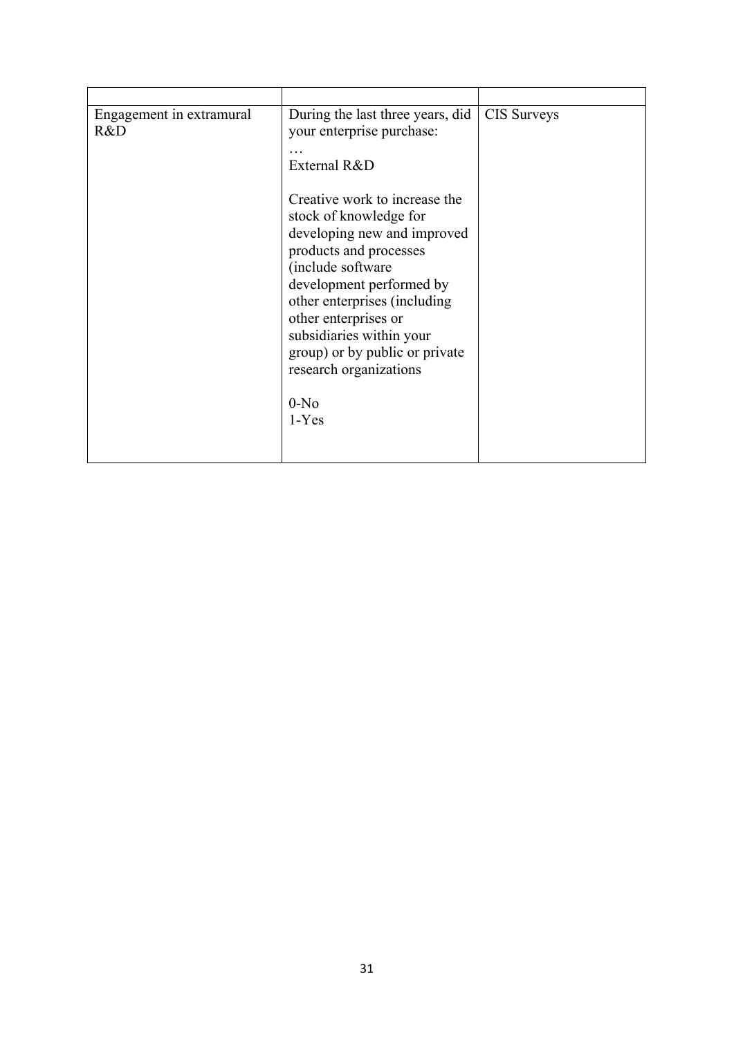| Engagement in extramural<br>R&D | During the last three years, did<br>your enterprise purchase: | <b>CIS Surveys</b> |
|---------------------------------|---------------------------------------------------------------|--------------------|
|                                 | External R&D                                                  |                    |
|                                 | Creative work to increase the                                 |                    |
|                                 | stock of knowledge for<br>developing new and improved         |                    |
|                                 | products and processes                                        |                    |
|                                 | (include software                                             |                    |
|                                 | development performed by                                      |                    |
|                                 | other enterprises (including<br>other enterprises or          |                    |
|                                 | subsidiaries within your                                      |                    |
|                                 | group) or by public or private                                |                    |
|                                 | research organizations                                        |                    |
|                                 | $0-No$                                                        |                    |
|                                 | $1-Yes$                                                       |                    |
|                                 |                                                               |                    |
|                                 |                                                               |                    |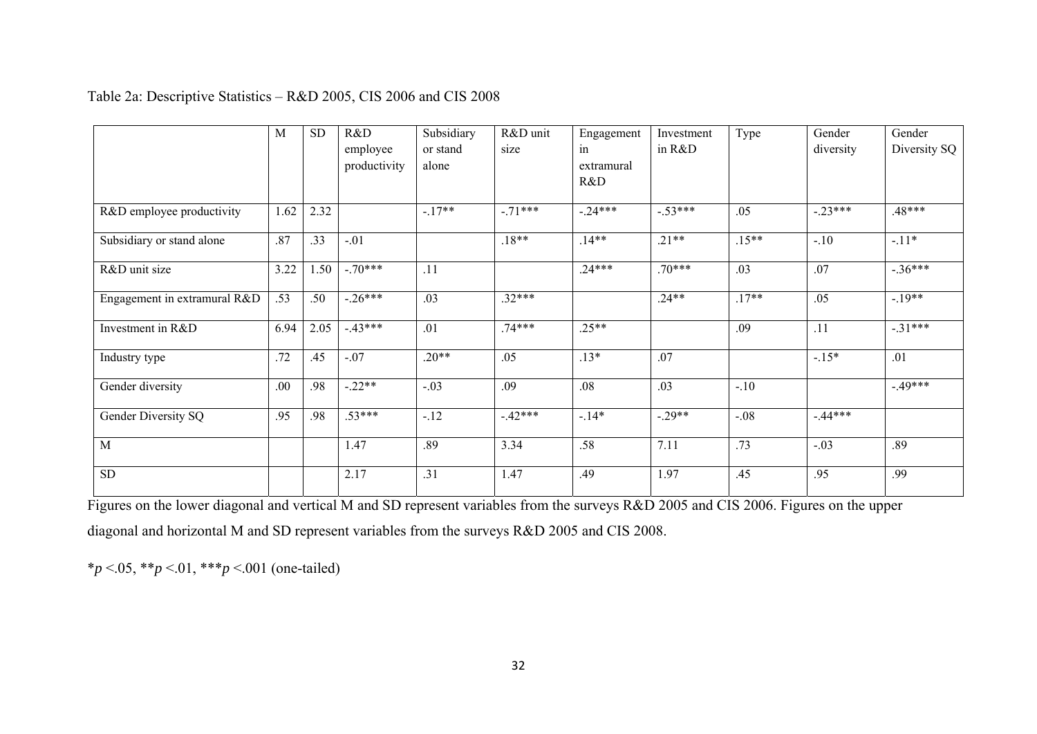## Table 2a: Descriptive Statistics – R&D 2005, CIS 2006 and CIS 2008

|                              | M    | <b>SD</b> | R&D<br>employee<br>productivity | Subsidiary<br>or stand<br>alone | R&D unit<br>size | Engagement<br>in<br>extramural<br>R&D | Investment<br>in R&D | Type     | Gender<br>diversity | Gender<br>Diversity SQ |
|------------------------------|------|-----------|---------------------------------|---------------------------------|------------------|---------------------------------------|----------------------|----------|---------------------|------------------------|
| R&D employee productivity    | 1.62 | 2.32      |                                 | $-.17**$                        | $-.71***$        | $-.24***$                             | $-53***$             | .05      | $-.23***$           | $.48***$               |
| Subsidiary or stand alone    | .87  | .33       | $-.01$                          |                                 | $.18**$          | $.14**$                               | $.21**$              | $.15***$ | $-.10$              | $-.11*$                |
| R&D unit size                | 3.22 | 1.50      | $-.70***$                       | .11                             |                  | $.24***$                              | $.70***$             | .03      | .07                 | $-.36***$              |
| Engagement in extramural R&D | .53  | .50       | $-.26***$                       | .03                             | $.32***$         |                                       | $.24**$              | $.17**$  | .05                 | $-19**$                |
| Investment in R&D            | 6.94 | 2.05      | $-43***$                        | .01                             | $.74***$         | $.25**$                               |                      | .09      | .11                 | $-.31***$              |
| Industry type                | .72  | .45       | $-.07$                          | $.20**$                         | .05              | $.13*$                                | .07                  |          | $-15*$              | .01                    |
| Gender diversity             | .00  | .98       | $-.22**$                        | $-.03$                          | .09              | .08                                   | .03                  | $-.10$   |                     | $-49***$               |
| Gender Diversity SQ          | .95  | .98       | $.53***$                        | $-.12$                          | $-42***$         | $-14*$                                | $-.29**$             | $-.08$   | $-44***$            |                        |
| M                            |      |           | 1.47                            | .89                             | 3.34             | .58                                   | 7.11                 | .73      | $-.03$              | .89                    |
| <b>SD</b>                    |      |           | 2.17                            | .31                             | 1.47             | .49                                   | 1.97                 | .45      | .95                 | .99                    |

Figures on the lower diagonal and vertical M and SD represent variables from the surveys R&D 2005 and CIS 2006. Figures on the upper diagonal and horizontal M and SD represent variables from the surveys R&D 2005 and CIS 2008.

\**p* <.05, \*\**p* <.01, \*\*\**p* <.001 (one-tailed)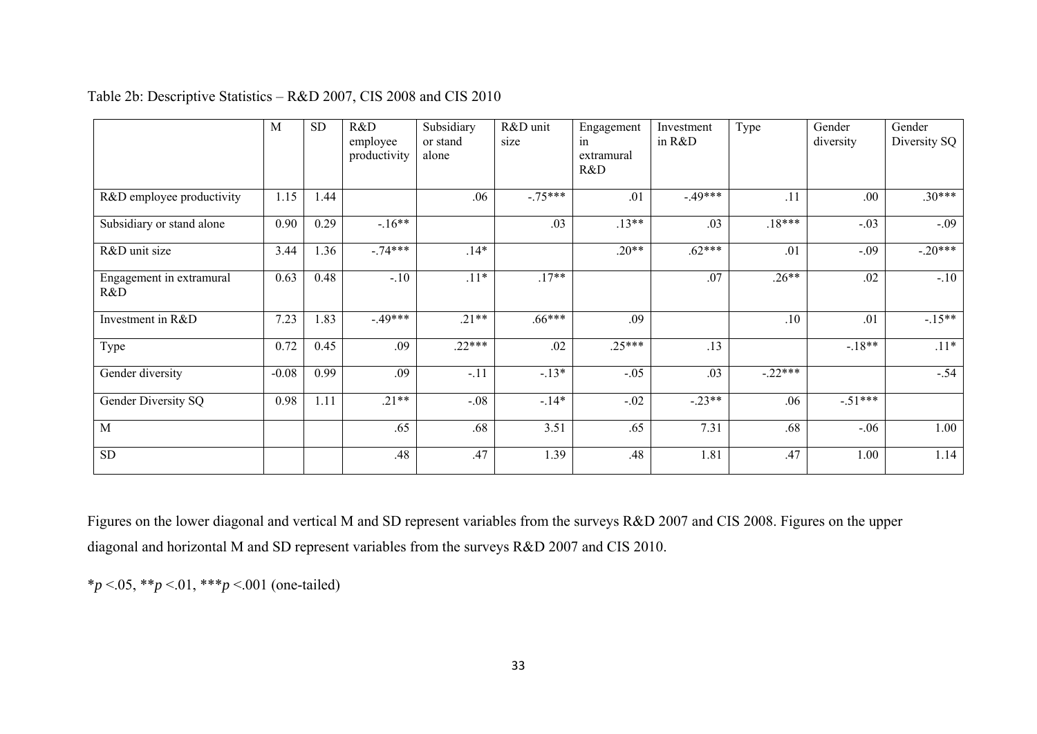|                                 | M       | <b>SD</b> | R&D<br>employee<br>productivity | Subsidiary<br>or stand<br>alone | R&D unit<br>size | Engagement<br>in<br>extramural<br>R&D | Investment<br>in R&D | Type      | Gender<br>diversity | Gender<br>Diversity SQ |
|---------------------------------|---------|-----------|---------------------------------|---------------------------------|------------------|---------------------------------------|----------------------|-----------|---------------------|------------------------|
| R&D employee productivity       | 1.15    | 1.44      |                                 | .06                             | $-.75***$        | .01                                   | $-.49***$            | .11       | .00                 | $.30***$               |
| Subsidiary or stand alone       | 0.90    | 0.29      | $-.16**$                        |                                 | .03              | $.13**$                               | .03                  | $.18***$  | $-.03$              | $-.09$                 |
| R&D unit size                   | 3.44    | 1.36      | $-.74***$                       | $.14*$                          |                  | $.20**$                               | $.62***$             | .01       | $-.09$              | $-.20***$              |
| Engagement in extramural<br>R&D | 0.63    | 0.48      | $-.10$                          | $.11*$                          | $.17**$          |                                       | .07                  | $.26**$   | .02                 | $-.10$                 |
| Investment in R&D               | 7.23    | 1.83      | $-49***$                        | $.21**$                         | $.66***$         | .09                                   |                      | .10       | .01                 | $-15**$                |
| Type                            | 0.72    | 0.45      | .09                             | $.22***$                        | .02              | $.25***$                              | .13                  |           | $-18**$             | $.11*$                 |
| Gender diversity                | $-0.08$ | 0.99      | .09                             | $-.11$                          | $-.13*$          | $-.05$                                | .03                  | $-.22***$ |                     | $-.54$                 |
| Gender Diversity SQ             | 0.98    | 1.11      | $.21**$                         | $-.08$                          | $-.14*$          | $-.02$                                | $-.23**$             | .06       | $-.51***$           |                        |
| M                               |         |           | .65                             | .68                             | 3.51             | .65                                   | 7.31                 | .68       | $-.06$              | 1.00                   |
| SD                              |         |           | .48                             | .47                             | 1.39             | .48                                   | 1.81                 | .47       | 1.00                | 1.14                   |

Table 2b: Descriptive Statistics – R&D 2007, CIS 2008 and CIS 2010

Figures on the lower diagonal and vertical M and SD represent variables from the surveys R&D 2007 and CIS 2008. Figures on the upper diagonal and horizontal M and SD represent variables from the surveys R&D 2007 and CIS 2010.

\**p* <.05, \*\**p* <.01, \*\*\**p* <.001 (one-tailed)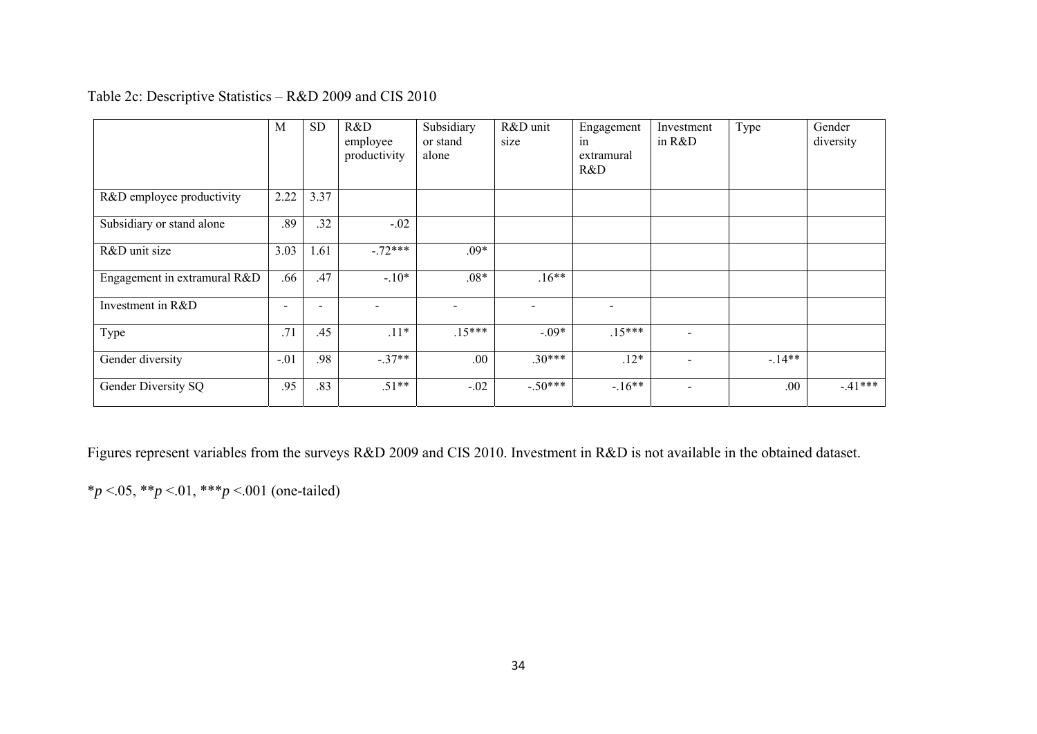| Table 2c: Descriptive Statistics $-$ R&D 2009 and CIS 2010 |
|------------------------------------------------------------|
|------------------------------------------------------------|

|                              | M                        | <b>SD</b> | R&D<br>employee<br>productivity | Subsidiary<br>or stand<br>alone | R&D unit<br>size | Engagement<br>in<br>extramural<br>R&D | Investment<br>in $R&D$   | Type    | Gender<br>diversity |
|------------------------------|--------------------------|-----------|---------------------------------|---------------------------------|------------------|---------------------------------------|--------------------------|---------|---------------------|
| R&D employee productivity    | 2.22                     | 3.37      |                                 |                                 |                  |                                       |                          |         |                     |
| Subsidiary or stand alone    | .89                      | .32       | $-.02$                          |                                 |                  |                                       |                          |         |                     |
| R&D unit size                | 3.03                     | 1.61      | $-.72***$                       | $.09*$                          |                  |                                       |                          |         |                     |
| Engagement in extramural R&D | .66                      | .47       | $-.10*$                         | $.08*$                          | $.16**$          |                                       |                          |         |                     |
| Investment in R&D            | $\overline{\phantom{0}}$ |           | $\overline{\phantom{0}}$        | $\overline{\phantom{0}}$        |                  | $\overline{\phantom{0}}$              |                          |         |                     |
| Type                         | .71                      | .45       | $.11*$                          | $.15***$                        | $-.09*$          | $.15***$                              | $\overline{\phantom{a}}$ |         |                     |
| Gender diversity             | $-.01$                   | .98       | $-.37**$                        | .00.                            | $.30***$         | $.12*$                                | $\overline{\phantom{0}}$ | $-14**$ |                     |
| Gender Diversity SQ          | .95                      | .83       | $.51**$                         | $-.02$                          | $-.50***$        | $-16**$                               | $\overline{\phantom{a}}$ | .00.    | $-41***$            |

Figures represent variables from the surveys R&D 2009 and CIS 2010. Investment in R&D is not available in the obtained dataset.

\**p* <.05, \*\**p* <.01, \*\*\**p* <.001 (one-tailed)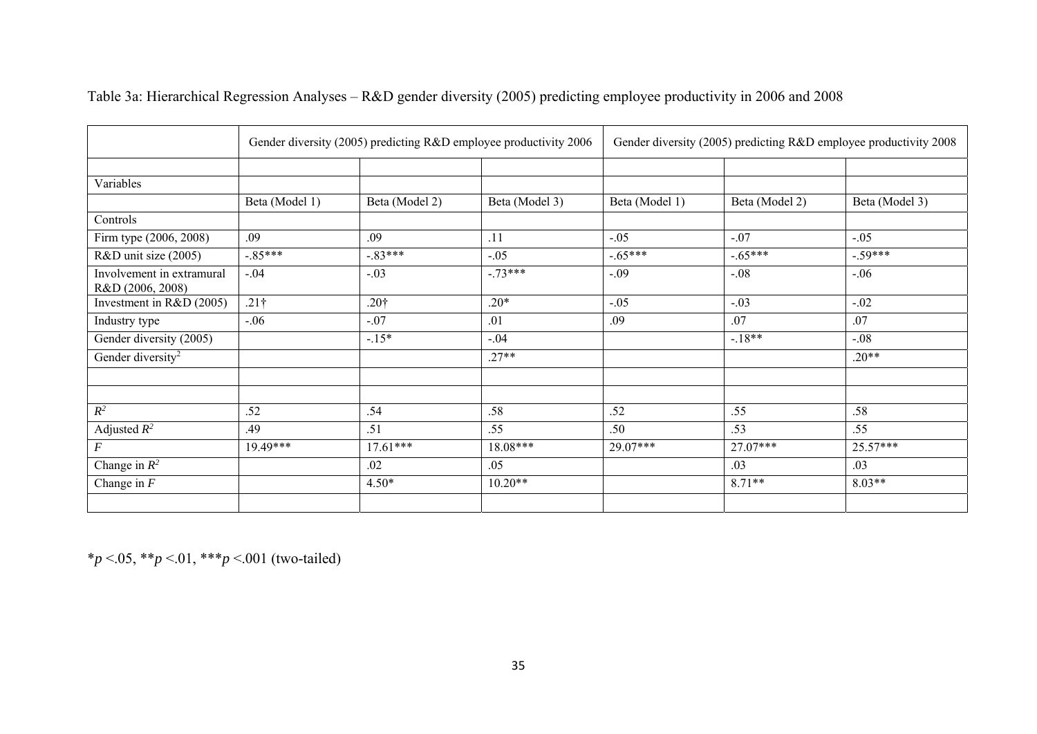|                                               |                |                  | Gender diversity (2005) predicting R&D employee productivity 2006 | Gender diversity (2005) predicting R&D employee productivity 2008 |                |                |  |
|-----------------------------------------------|----------------|------------------|-------------------------------------------------------------------|-------------------------------------------------------------------|----------------|----------------|--|
|                                               |                |                  |                                                                   |                                                                   |                |                |  |
| Variables                                     |                |                  |                                                                   |                                                                   |                |                |  |
|                                               | Beta (Model 1) | Beta (Model 2)   | Beta (Model 3)                                                    | Beta (Model 1)                                                    | Beta (Model 2) | Beta (Model 3) |  |
| Controls                                      |                |                  |                                                                   |                                                                   |                |                |  |
| Firm type (2006, 2008)                        | .09            | .09              | .11                                                               | $-.05$                                                            | $-.07$         | $-.05$         |  |
| R&D unit size (2005)                          | $-.85***$      | $-.83***$        | $-.05$                                                            | $-.65***$                                                         | $-.65***$      | $-.59***$      |  |
| Involvement in extramural<br>R&D (2006, 2008) | $-.04$         | $-.03$           | $-.73***$                                                         | $-.09$                                                            | $-.08$         | $-.06$         |  |
| Investment in R&D (2005)                      | $.21\dagger$   | .20 <sup>†</sup> | $.20*$                                                            | $-.05$                                                            | $-.03$         | $-.02$         |  |
| Industry type                                 | $-.06$         | $-.07$           | .01                                                               | .09                                                               | .07            | .07            |  |
| Gender diversity (2005)                       |                | $-.15*$          | $-.04$                                                            |                                                                   | $-.18**$       | $-.08$         |  |
| Gender diversity <sup>2</sup>                 |                |                  | $.27**$                                                           |                                                                   |                | $.20**$        |  |
|                                               |                |                  |                                                                   |                                                                   |                |                |  |
|                                               |                |                  |                                                                   |                                                                   |                |                |  |
| $R^2$                                         | .52            | .54              | .58                                                               | .52                                                               | .55            | .58            |  |
| Adjusted $R^2$                                | .49            | .51              | .55                                                               | .50                                                               | .53            | .55            |  |
| $\boldsymbol{F}$                              | 19.49***       | $17.61***$       | 18.08***                                                          | 29.07***                                                          | 27.07***       | 25.57***       |  |
| Change in $R^2$                               |                | .02              | .05                                                               |                                                                   | .03            | .03            |  |
| Change in $\overline{F}$                      |                | $4.50*$          | $10.20**$                                                         |                                                                   | $8.71**$       | $8.03**$       |  |
|                                               |                |                  |                                                                   |                                                                   |                |                |  |

Table 3a: Hierarchical Regression Analyses – R&D gender diversity (2005) predicting employee productivity in 2006 and 2008

\**p* <.05, \*\**p* <.01, \*\*\**p* <.001 (two-tailed)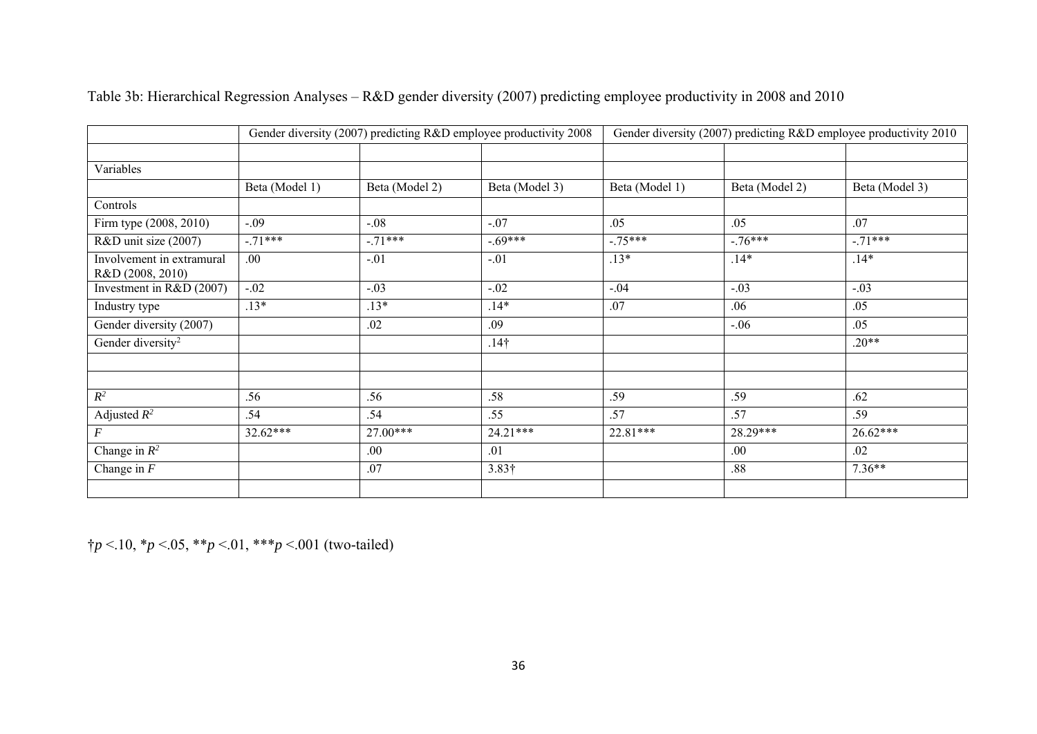|                                               |                |                | Gender diversity (2007) predicting R&D employee productivity 2008 | Gender diversity (2007) predicting R&D employee productivity 2010 |                |                |  |
|-----------------------------------------------|----------------|----------------|-------------------------------------------------------------------|-------------------------------------------------------------------|----------------|----------------|--|
|                                               |                |                |                                                                   |                                                                   |                |                |  |
| Variables                                     |                |                |                                                                   |                                                                   |                |                |  |
|                                               | Beta (Model 1) | Beta (Model 2) | Beta (Model 3)                                                    | Beta (Model 1)                                                    | Beta (Model 2) | Beta (Model 3) |  |
| Controls                                      |                |                |                                                                   |                                                                   |                |                |  |
| Firm type (2008, 2010)                        | $-.09$         | $-.08$         | $-.07$                                                            | .05                                                               | .05            | .07            |  |
| R&D unit size (2007)                          | $-.71***$      | $-.71***$      | $-.69***$                                                         | $-.75***$                                                         | $-.76***$      | $-.71***$      |  |
| Involvement in extramural<br>R&D (2008, 2010) | .00            | $-.01$         | $-.01$                                                            | $.13*$                                                            | $.14*$         | $.14*$         |  |
| Investment in R&D (2007)                      | $-.02$         | $-.03$         | $-.02$                                                            | $-.04$                                                            | $-.03$         | $-.03$         |  |
| Industry type                                 | $.13*$         | $.13*$         | $.14*$                                                            | .07                                                               | .06            | .05            |  |
| Gender diversity (2007)                       |                | .02            | .09                                                               |                                                                   | $-.06$         | .05            |  |
| Gender diversity <sup>2</sup>                 |                |                | $.14\dagger$                                                      |                                                                   |                | $.20**$        |  |
|                                               |                |                |                                                                   |                                                                   |                |                |  |
|                                               |                |                |                                                                   |                                                                   |                |                |  |
| $R^2$                                         | .56            | .56            | .58                                                               | .59                                                               | .59            | .62            |  |
| Adjusted $R^2$                                | .54            | .54            | .55                                                               | .57                                                               | .57            | .59            |  |
| $\cal F$                                      | $32.62***$     | 27.00***       | $24.21***$                                                        | $22.81***$                                                        | 28.29***       | $26.62***$     |  |
| Change in $R^2$                               |                | .00.           | .01                                                               |                                                                   | .00.           | .02            |  |
| Change in $F$                                 |                | .07            | $3.83\dagger$                                                     |                                                                   | .88            | $7.36**$       |  |
|                                               |                |                |                                                                   |                                                                   |                |                |  |

# Table 3b: Hierarchical Regression Analyses – R&D gender diversity (2007) predicting employee productivity in 2008 and 2010

†*p* <.10, \**p* <.05, \*\**p* <.01, \*\*\**p* <.001 (two-tailed)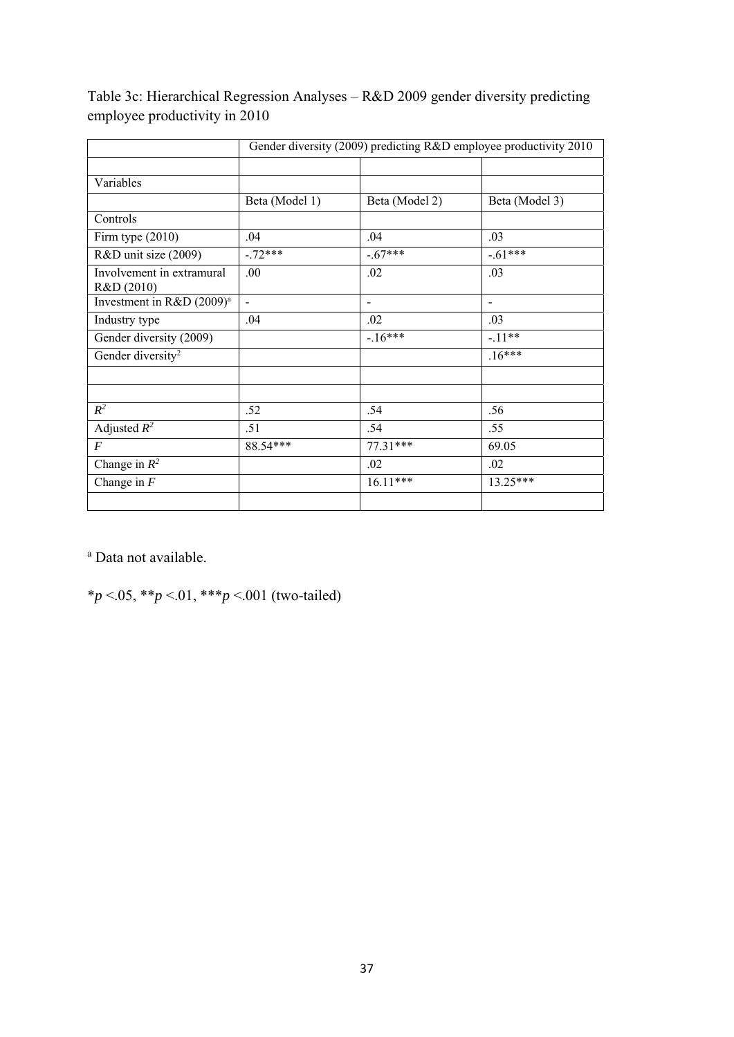|                                         | Gender diversity (2009) predicting R&D employee productivity 2010 |                          |                |  |  |  |  |  |
|-----------------------------------------|-------------------------------------------------------------------|--------------------------|----------------|--|--|--|--|--|
|                                         |                                                                   |                          |                |  |  |  |  |  |
| Variables                               |                                                                   |                          |                |  |  |  |  |  |
|                                         | Beta (Model 1)                                                    | Beta (Model 2)           | Beta (Model 3) |  |  |  |  |  |
| Controls                                |                                                                   |                          |                |  |  |  |  |  |
| Firm type $(2010)$                      | .04                                                               | .04                      | .03            |  |  |  |  |  |
| R&D unit size (2009)                    | $-.72***$                                                         | $-.67***$                | $-61***$       |  |  |  |  |  |
| Involvement in extramural<br>R&D (2010) | .00                                                               | .02                      | .03            |  |  |  |  |  |
| Investment in R&D (2009) <sup>a</sup>   | $\overline{\phantom{a}}$                                          | $\overline{\phantom{a}}$ | $\blacksquare$ |  |  |  |  |  |
| Industry type                           | .04                                                               | .02                      | .03            |  |  |  |  |  |
| Gender diversity (2009)                 |                                                                   | $-16***$                 | $-.11**$       |  |  |  |  |  |
| Gender diversity <sup>2</sup>           |                                                                   |                          | $.16***$       |  |  |  |  |  |
|                                         |                                                                   |                          |                |  |  |  |  |  |
| $R^2$                                   | .52                                                               | .54                      | .56            |  |  |  |  |  |
| Adjusted $R^2$                          | .51                                                               | .54                      | .55            |  |  |  |  |  |
| $\boldsymbol{F}$                        | 88.54***                                                          | $77.31***$               | 69.05          |  |  |  |  |  |
| Change in $R^2$                         |                                                                   | .02                      | .02            |  |  |  |  |  |
| Change in $F$                           |                                                                   | $16.11***$               | $13.25***$     |  |  |  |  |  |
|                                         |                                                                   |                          |                |  |  |  |  |  |

Table 3c: Hierarchical Regression Analyses – R&D 2009 gender diversity predicting employee productivity in 2010

a Data not available.

\**p* <.05, \*\**p* <.01, \*\*\**p* <.001 (two-tailed)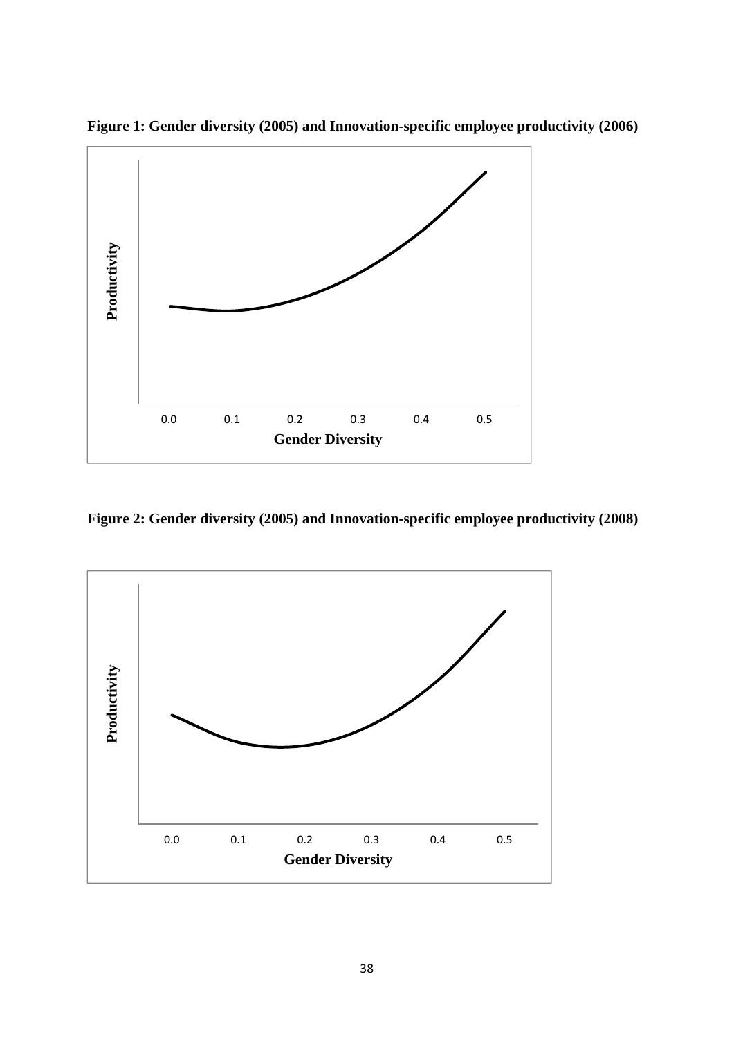

**Figure 1: Gender diversity (2005) and Innovation-specific employee productivity (2006)** 

**Figure 2: Gender diversity (2005) and Innovation-specific employee productivity (2008)** 

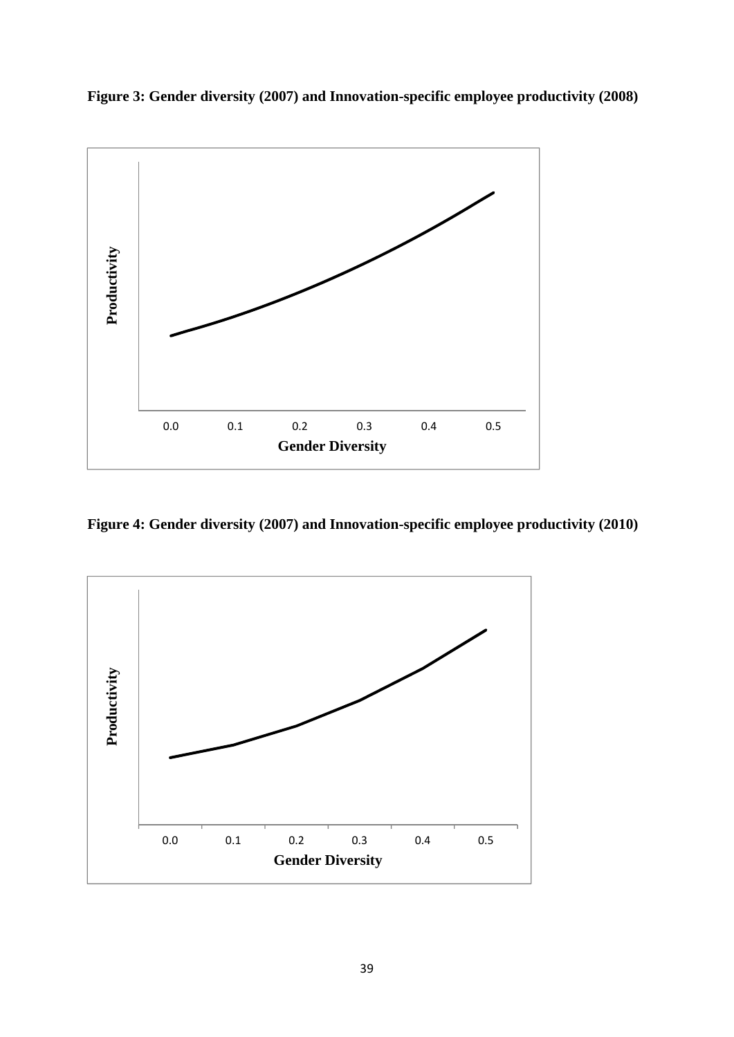



**Figure 4: Gender diversity (2007) and Innovation-specific employee productivity (2010)**